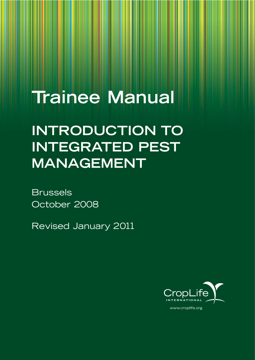# **Trainee Manual**

## **INTRODUCTION TO INTEGRATED PEST MANAGEMENT**

Brussels October 2008

Revised January 2011

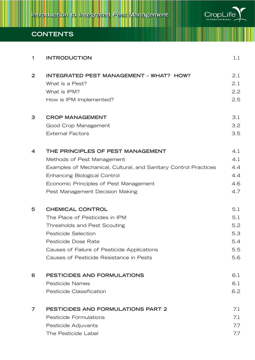

## **CONTENTS**

| 1                | <b>INTRODUCTION</b>                                                                                                                                                                                                                                     | 1.1                                           |
|------------------|---------------------------------------------------------------------------------------------------------------------------------------------------------------------------------------------------------------------------------------------------------|-----------------------------------------------|
| $\overline{2}$   | <b>INTEGRATED PEST MANAGEMENT - WHAT? HOW?</b><br>What is a Pest?<br>What is IPM?<br>How is IPM Implemented?                                                                                                                                            | 2.1<br>2.1<br>2.2<br>2.5                      |
| 3                | <b>CROP MANAGEMENT</b><br>Good Crop Management<br><b>External Factors</b>                                                                                                                                                                               | 3.1<br>3.2<br>3.5                             |
| $\boldsymbol{4}$ | THE PRINCIPLES OF PEST MANAGEMENT<br>Methods of Pest Management<br>Examples of Mechanical, Cultural, and Sanitary Control Practices<br><b>Enhancing Biological Control</b><br>Economic Principles of Pest Management<br>Pest Management Decision Making | 4.1<br>4.1<br>4.4<br>4.4<br>4.6<br>4.7        |
| 5                | <b>CHEMICAL CONTROL</b><br>The Place of Pesticides in IPM<br><b>Thresholds and Pest Scouting</b><br><b>Pesticide Selection</b><br>Pesticide Dose Rate<br>Causes of Failure of Pesticide Applications<br>Causes of Pesticide Resistance in Pests         | 5.1<br>5.1<br>5.2<br>5.3<br>5.4<br>5.5<br>5.6 |
| 6                | PESTICIDES AND FORMULATIONS<br><b>Pesticide Names</b><br>Pesticide Classification                                                                                                                                                                       | 6.1<br>6.1<br>6.2                             |
| 7                | <b>PESTICIDES AND FORMULATIONS PART 2</b><br><b>Pesticide Formulations</b><br>Pesticide Adjuvants<br>The Pesticide Label                                                                                                                                | 7.1<br>7.1<br>7.7<br>7.7                      |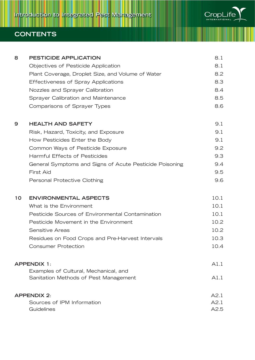

## **CONTENTS**

| 8  | <b>PESTICIDE APPLICATION</b>                            | 8.1  |
|----|---------------------------------------------------------|------|
|    | Objectives of Pesticide Application                     | 8.1  |
|    | Plant Coverage, Droplet Size, and Volume of Water       | 8.2  |
|    | <b>Effectiveness of Spray Applications</b>              | 8.3  |
|    | Nozzles and Sprayer Calibration                         | 8.4  |
|    | Sprayer Calibration and Maintenance                     | 8.5  |
|    | Comparisons of Sprayer Types                            | 8.6  |
| 9  | <b>HEALTH AND SAFETY</b>                                | 9.1  |
|    | Risk, Hazard, Toxicity, and Exposure                    | 9.1  |
|    | How Pesticides Enter the Body                           | 9.1  |
|    | Common Ways of Pesticide Exposure                       | 9.2  |
|    | <b>Harmful Effects of Pesticides</b>                    | 9.3  |
|    | General Symptoms and Signs of Acute Pesticide Poisoning | 9.4  |
|    | <b>First Aid</b>                                        | 9.5  |
|    | Personal Protective Clothing                            | 9.6  |
| 10 | <b>ENVIRONMENTAL ASPECTS</b>                            | 10.1 |
|    | What is the Environment                                 | 10.1 |
|    | Pesticide Sources of Environmental Contamination        | 10.1 |
|    | Pesticide Movement in the Environment                   | 10.2 |
|    | Sensitive Areas                                         | 10.2 |
|    | Residues on Food Crops and Pre-Harvest Intervals        | 10.3 |
|    | <b>Consumer Protection</b>                              | 10.4 |
|    | <b>APPENDIX 1:</b>                                      | A1.1 |
|    | Examples of Cultural, Mechanical, and                   |      |
|    | Sanitation Methods of Pest Management                   | A1.1 |
|    | <b>APPENDIX 2:</b>                                      | A2.1 |
|    | Sources of IPM Information                              | A2.1 |
|    | Guidelines                                              | A2.5 |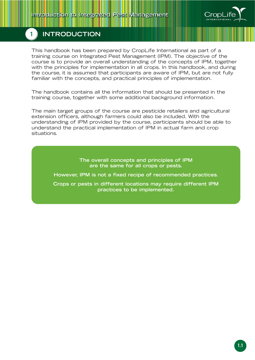

## **1 INTRODUCTION**

This handbook has been prepared by CropLife International as part of a training course on Integrated Pest Management (IPM). The objective of the course is to provide an overall understanding of the concepts of IPM, together with the principles for implementation in all crops. In this handbook, and during the course, it is assumed that participants are aware of IPM, but are not fully familiar with the concepts, and practical principles of implementation.

The handbook contains all the information that should be presented in the training course, together with some additional background information.

The main target groups of the course are pesticide retailers and agricultural extension officers, although farmers could also be included. With the understanding of IPM provided by the course, participants should be able to understand the practical implementation of IPM in actual farm and crop situations.

> **The overall concepts and principles of IPM are the same for all crops or pests.**

**However, IPM is not a fixed recipe of recommended practices.**

**Crops or pests in different locations may require different IPM practices to be implemented.**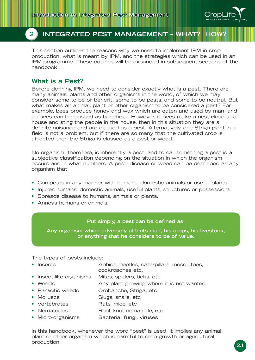

## **2 INTEGRATED PEST MANAGEMENT - WHAT? HO**

This section outlines the reasons why we need to implement IPM in crop production, what is meant by IPM, and the strategies which can be used in an IPM programme. These outlines will be expanded in subsequent sections of the handbook.

### **What is a Pest?**

Before defining IPM, we need to consider exactly what is a pest. There are many animals, plants and other organisms in the world, of which we may consider some to be of benefit, some to be pests, and some to be neutral. But what makes an animal, plant or other organism to be considered a pest? For example, bees produce honey and wax which are eaten and used by man, and so bees can be classed as beneficial. However, if bees make a nest close to a house and sting the people in the house, then in this situation they are a definite nuisance and are classed as a pest. Alternatively, one Striga plant in a field is not a problem, but if there are so many that the cultivated crop is affected then the Striga is classed as a pest or weed.

No organism, therefore, is inherently a pest, and to call something a pest is a subjective classification depending on the situation in which the organism occurs and in what numbers. A pest, disease or weed can be described as any organism that:

- Competes in any manner with humans, domestic animals or useful plants.
- Injures humans, domestic animals, useful plants, structures or possessions.
- Spreads disease to humans, animals or plants.
- Annoys humans or animals.

#### **Put simply, a pest can be defined as:**

**Any organism which adversely affects man, his crops, his livestock, or anything that he considers to be of value.**

The types of pests include:

• Insects Aphids, beetles, caterpillars, mosquitoes,

cockroaches etc.

- Insect-like organisms Mites, spiders, ticks, etc
- Weeds **Any plant growing where it is not wanted**
- Parasitic weeds Orobanche, Striga, etc
- Molluscs Slugs, snails, etc
- Vertebrates Rats, mice, etc.
- Nematodes Root knot nematode, etc
- Micro-organisms Bacteria, fungi, viruses

In this handbook, whenever the word "pest" is used, it implies any animal, plant or other organism which is harmful to crop growth or agricultural production.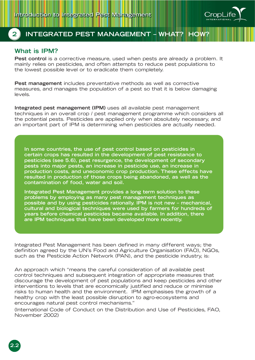

## **2 INTEGRATED PEST MANAGEMENT – WHAT? HOW?**

## **What is IPM?**

**2.2**

**Pest control** is a corrective measure, used when pests are already a problem. It mainly relies on pesticides, and often attempts to reduce pest populations to the lowest possible level or to eradicate them completely.

**Pest management** includes preventative methods as well as corrective measures, and manages the population of a pest so that it is below damaging levels.

**Integrated pest management (IPM)** uses all available pest management techniques in an overall crop / pest management programme which considers all the potential pests. Pesticides are applied only when absolutely necessary, and an important part of IPM is determining when pesticides are actually needed.

**In some countries, the use of pest control based on pesticides in certain crops has resulted in the development of pest resistance to pesticides (see 5.6), pest resurgence, the development of secondary pests into major pests, an increase in pesticide use, an increase in production costs, and uneconomic crop production. These effects have resulted in production of those crops being abandoned, as well as the contamination of food, water and soil.**

**Integrated Pest Management provides a long term solution to these problems by employing as many pest management techniques as possible and by using pesticides rationally. IPM is not new – mechanical, cultural and biological techniques were used by farmers for hundreds of years before chemical pesticides became available. In addition, there are IPM techniques that have been developed more recently.**

Integrated Pest Management has been defined in many different ways; the definition agreed by the UN's Food and Agriculture Organisation (FAO), NGOs, such as the Pesticide Action Network (PAN), and the pesticide industry, is:

An approach which "means the careful consideration of all available pest control techniques and subsequent integration of appropriate measures that discourage the development of pest populations and keep pesticides and other interventions to levels that are economically justified and reduce or minimise risks to human health and the environment. IPM emphasises the growth of a healthy crop with the least possible disruption to agro-ecosystems and encourages natural pest control mechanisms."

(International Code of Conduct on the Distribution and Use of Pesticides, FAO, November 2002)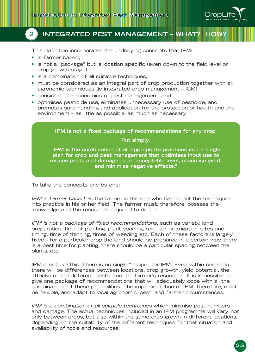

## **2 INTEGRATED PEST MANAGEMENT - WHAT?**

This definition incorporates the underlying concepts that IPM:

- is farmer based,
- is not a "package" but is location specific (even down to the field level or crop growth stage),
- is a combination of all suitable techniques,
- must be considered as an integral part of crop production together with all agronomic techniques (ie integrated crop management – ICM),
- considers the economics of pest management, and
- optimises pesticide use, eliminates unnecessary use of pesticide, and promotes safe handling and application for the protection of health and the environment – as little as possible, as much as necessary.

**IPM is not a fixed package of recommendations for any crop. Put simply: "IPM is the combination of all appropriate practices into a single plan for crop and pest management that optimises input use to reduce pests and damage to an acceptable level, maximise yield, and minimise negative effects."**

To take the concepts one by one:

IPM is farmer based as the farmer is the one who has to put the techniques into practice in his or her field. The farmer must, therefore, possess the knowledge and the resources required to do this.

IPM is not a package of fixed recommendations, such as variety, land preparation, time of planting, plant spacing, fertiliser or irrigation rates and timing, time of thinning, times of weeding etc. Each of these factors is largely fixed - for a particular crop the land should be prepared in a certain way, there is a best time for planting, there should be a particular spacing between the plants, etc.

IPM is not like this. There is no single "recipe" for IPM. Even within one crop there will be differences between locations, crop growth, yield potential, the attacks of the different pests, and the farmer's resources. It is impossible to give one package of recommendations that will adequately cope with all the combinations of these possibilities. The implementation of IPM, therefore, must be flexible, and adapt to local agronomic, pest, and farmer circumstances.

IPM is a combination of all suitable techniques which minimise pest numbers and damage. The actual techniques included in an IPM programme will vary, not only between crops, but also within the same crop grown in different locations, depending on the suitability of the different techniques for that situation and availability of tools and resources.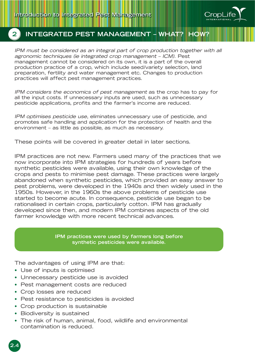

## **2 INTEGRATED PEST MANAGEMENT – WHAT? HOW?**

IPM must be considered as an integral part of crop production together with all agronomic techniques (ie integrated crop management – ICM). Pest management cannot be considered on its own, it is a part of the overall production practice of a crop, which include seed/variety selection, land preparation, fertility and water management etc. Changes to production practices will affect pest management practices.

IPM considers the economics of pest management as the crop has to pay for all the input costs. If unnecessary inputs are used, such as unnecessary pesticide applications, profits and the farmer's income are reduced.

IPM optimises pesticide use, eliminates unnecessary use of pesticide, and promotes safe handling and application for the protection of health and the environment – as little as possible, as much as necessary.

These points will be covered in greater detail in later sections.

IPM practices are not new. Farmers used many of the practices that we now incorporate into IPM strategies for hundreds of years before synthetic pesticides were available, using their own knowledge of the crops and pests to minimise pest damage. These practices were largely abandoned when synthetic pesticides, which provided an easy answer to pest problems, were developed in the 1940s and then widely used in the 1950s. However, in the 1960s the above problems of pesticide use started to become acute. In consequence, pesticide use began to be rationalised in certain crops, particularly cotton. IPM has gradually developed since then, and modern IPM combines aspects of the old farmer knowledge with more recent technical advances.

> **IPM practices were used by farmers long before synthetic pesticides were available.**

The advantages of using IPM are that:

- Use of inputs is optimised
- Unnecessary pesticide use is avoided
- Pest management costs are reduced
- Crop losses are reduced
- Pest resistance to pesticides is avoided
- Crop production is sustainable
- Biodiversity is sustained

**2.4**

• The risk of human, animal, food, wildlife and environmental contamination is reduced.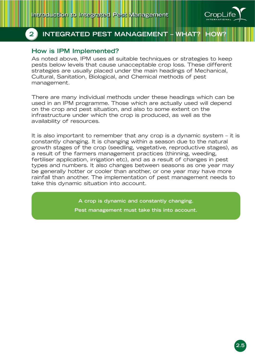

## **2 INTEGRATED PEST MANAGEMENT - WHAT?**

## **How is IPM Implemented?**

As noted above, IPM uses all suitable techniques or strategies to keep pests below levels that cause unacceptable crop loss. These different strategies are usually placed under the main headings of Mechanical, Cultural, Sanitation, Biological, and Chemical methods of pest management.

There are many individual methods under these headings which can be used in an IPM programme. Those which are actually used will depend on the crop and pest situation, and also to some extent on the infrastructure under which the crop is produced, as well as the availability of resources.

It is also important to remember that any crop is a dynamic system – it is constantly changing. It is changing within a season due to the natural growth stages of the crop (seedling, vegetative, reproductive stages), as a result of the farmers management practices (thinning, weeding, fertiliser application, irrigation etc), and as a result of changes in pest types and numbers. It also changes between seasons as one year may be generally hotter or cooler than another, or one year may have more rainfall than another. The implementation of pest management needs to take this dynamic situation into account.

**A crop is dynamic and constantly changing.**

**Pest management must take this into account.**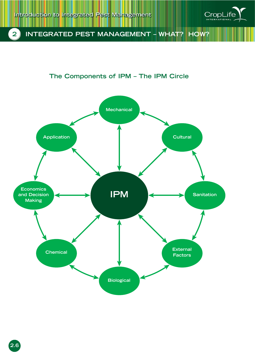

## **2 INTEGRATED PEST MANAGEMENT – WHAT? HOW?**

## **The Components of IPM – The IPM Circle**



**2.6**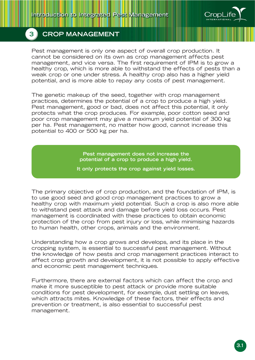

Pest management is only one aspect of overall crop production. It cannot be considered on its own as crop management affects pest management, and vice versa. The first requirement of IPM is to grow a healthy crop, which is more able to withstand the effects of pests than a weak crop or one under stress. A healthy crop also has a higher yield potential, and is more able to repay any costs of pest management.

The genetic makeup of the seed, together with crop management practices, determines the potential of a crop to produce a high yield. Pest management, good or bad, does not affect this potential, it only protects what the crop produces. For example, poor cotton seed and poor crop management may give a maximum yield potential of 300 kg per ha. Pest management, no matter how good, cannot increase this potential to 400 or 500 kg per ha.

> **Pest management does not increase the potential of a crop to produce a high yield.**

**It only protects the crop against yield losses.**

The primary objective of crop production, and the foundation of IPM, is to use good seed and good crop management practices to grow a healthy crop with maximum yield potential. Such a crop is also more able to withstand pest attack and damage before yield loss occurs. Pest management is coordinated with these practices to obtain economic protection of the crop from pest injury or loss, while minimising hazards to human health, other crops, animals and the environment.

Understanding how a crop grows and develops, and its place in the cropping system, is essential to successful pest management. Without the knowledge of how pests and crop management practices interact to affect crop growth and development, it is not possible to apply effective and economic pest management techniques.

Furthermore, there are external factors which can affect the crop and make it more susceptible to pest attack or provide more suitable conditions for pest development, for example, dust settling on leaves, which attracts mites. Knowledge of these factors, their effects and prevention or treatment, is also essential to successful pest management.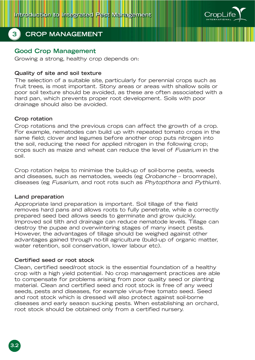

## **Good Crop Management**

Growing a strong, healthy crop depends on:

#### **Quality of site and soil texture**

The selection of a suitable site, particularly for perennial crops such as fruit trees, is most important. Stony areas or areas with shallow soils or poor soil texture should be avoided, as these are often associated with a hard pan, which prevents proper root development. Soils with poor drainage should also be avoided.

#### **Crop rotation**

Crop rotations and the previous crops can affect the growth of a crop. For example, nematodes can build up with repeated tomato crops in the same field; clover and legumes before another crop puts nitrogen into the soil, reducing the need for applied nitrogen in the following crop; crops such as maize and wheat can reduce the level of Fusarium in the soil.

Crop rotation helps to minimise the build-up of soil-borne pests, weeds and diseases, such as nematodes, weeds (eg Orobanche – broomrape), diseases (eg Fusarium, and root rots such as Phytopthora and Pythium).

#### **Land preparation**

**3.2**

Appropriate land preparation is important. Soil tillage of the field removes hard pans and allows roots to fully penetrate, while a correctly prepared seed bed allows seeds to germinate and grow quickly. Improved soil tilth and drainage can reduce nematode levels. Tillage can destroy the pupae and overwintering stages of many insect pests. However, the advantages of tillage should be weighed against other advantages gained through no-till agriculture (build-up of organic matter, water retention, soil conservation, lower labour etc).

#### **Certified seed or root stock**

Clean, certified seed/root stock is the essential foundation of a healthy crop with a high yield potential. No crop management practices are able to compensate for problems arising from poor quality seed or planting material. Clean and certified seed and root stock is free of any weed seeds, pests and diseases, for example virus-free tomato seed. Seed and root stock which is dressed will also protect against soil-borne diseases and early season sucking pests. When establishing an orchard, root stock should be obtained only from a certified nursery.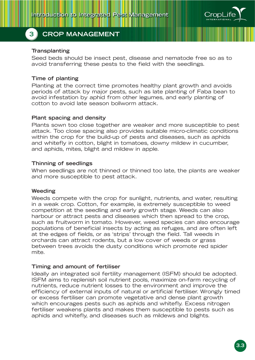

#### **Transplanting**

Seed beds should be insect pest, disease and nematode free so as to avoid transferring these pests to the field with the seedlings.

#### **Time of planting**

Planting at the correct time promotes healthy plant growth and avoids periods of attack by major pests, such as late planting of Faba bean to avoid infestation by aphid from other legumes, and early planting of cotton to avoid late season bollworm attack.

#### **Plant spacing and density**

Plants sown too close together are weaker and more susceptible to pest attack. Too close spacing also provides suitable micro-climatic conditions within the crop for the build-up of pests and diseases, such as aphids and whitefly in cotton, blight in tomatoes, downy mildew in cucumber, and aphids, mites, blight and mildew in apple.

#### **Thinning of seedlings**

When seedlings are not thinned or thinned too late, the plants are weaker and more susceptible to pest attack.

#### **Weeding**

Weeds compete with the crop for sunlight, nutrients, and water, resulting in a weak crop. Cotton, for example, is extremely susceptible to weed competition at the seedling and early growth stage. Weeds can also harbour or attract pests and diseases which then spread to the crop, such as fruitworm in tomato. However, weed species can also encourage populations of beneficial insects by acting as refuges, and are often left at the edges of fields, or as 'strips' through the field. Tall weeds in orchards can attract rodents, but a low cover of weeds or grass between trees avoids the dusty conditions which promote red spider mite.

#### **Timing and amount of fertiliser**

Ideally an integrated soil fertility management (ISFM) should be adopted. ISFM aims to replenish soil nutrient pools, maximize on-farm recycling of nutrients, reduce nutrient losses to the environment and improve the efficiency of external inputs of natural or artificial fertiliser. Wrongly timed or excess fertiliser can promote vegetative and dense plant growth which encourages pests such as aphids and whitefly. Excess nitrogen fertiliser weakens plants and makes them susceptible to pests such as aphids and whitefly, and diseases such as mildews and blights.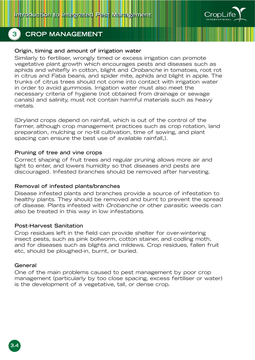

#### **Origin, timing and amount of irrigation water**

Similarly to fertiliser, wrongly timed or excess irrigation can promote vegetative plant growth which encourages pests and diseases such as aphids and whitefly in cotton, blight and Orobanche in tomatoes, root rot in citrus and Faba beans, and spider mite, aphids and blight in apple. The trunks of citrus trees should not come into contact with irrigation water in order to avoid gummosis. Irrigation water must also meet the necessary criteria of hygiene (not obtained from drainage or sewage canals) and salinity, must not contain harmful materials such as heavy metals.

(Dryland crops depend on rainfall, which is out of the control of the farmer, although crop management practices such as crop rotation, land preparation, mulching or no-till cultivation, time of sowing, and plant spacing can ensure the best use of available rainfall,).

#### **Pruning of tree and vine crops**

Correct shaping of fruit trees and regular pruning allows more air and light to enter, and lowers humidity so that diseases and pests are discouraged. Infested branches should be removed after harvesting.

#### **Removal of infested plants/branches**

Disease infested plants and branches provide a source of infestation to healthy plants. They should be removed and burnt to prevent the spread of disease. Plants infested with Orobanche or other parasitic weeds can also be treated in this way in low infestations.

#### **Post-Harvest Sanitation**

Crop residues left in the field can provide shelter for over-wintering insect pests, such as pink bollworm, cotton stainer, and codling moth, and for diseases such as blights and mildews. Crop residues, fallen fruit etc, should be ploughed-in, burnt, or buried.

#### **General**

One of the main problems caused to pest management by poor crop management (particularly by too close spacing, excess fertiliser or water) is the development of a vegetative, tall, or dense crop.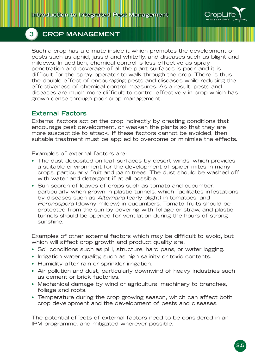

Such a crop has a climate inside it which promotes the development of pests such as aphid, jassid and whitefly, and diseases such as blight and mildews. In addition, chemical control is less effective as spray penetration and coverage of all the plant surfaces is poor, and it is difficult for the spray operator to walk through the crop. There is thus the double effect of encouraging pests and diseases while reducing the effectiveness of chemical control measures. As a result, pests and diseases are much more difficult to control effectively in crop which has grown dense through poor crop management.

## **External Factors**

External factors act on the crop indirectly by creating conditions that encourage pest development, or weaken the plants so that they are more susceptible to attack. If these factors cannot be avoided, then suitable treatment must be applied to overcome or minimise the effects.

Examples of external factors are:

- The dust deposited on leaf surfaces by desert winds, which provides a suitable environment for the development of spider mites in many crops, particularly fruit and palm trees. The dust should be washed off with water and detergent if at all possible.
- Sun scorch of leaves of crops such as tomato and cucumber, particularly when grown in plastic tunnels, which facilitates infestations by diseases such as Alternaria (early blight) in tomatoes, and Peronospora (downy mildew) in cucumbers. Tomato fruits should be protected from the sun by covering with foliage or straw, and plastic tunnels should be opened for ventilation during the hours of strong sunshine.

Examples of other external factors which may be difficult to avoid, but which will affect crop growth and product quality are:

- Soil conditions such as pH, structure, hard pans, or water logging.
- Irrigation water quality, such as high salinity or toxic contents.
- Humidity after rain or sprinkler irrigation.
- Air pollution and dust, particularly downwind of heavy industries such as cement or brick factories.
- Mechanical damage by wind or agricultural machinery to branches, foliage and roots.
- Temperature during the crop growing season, which can affect both crop development and the development of pests and diseases.

The potential effects of external factors need to be considered in an IPM programme, and mitigated wherever possible.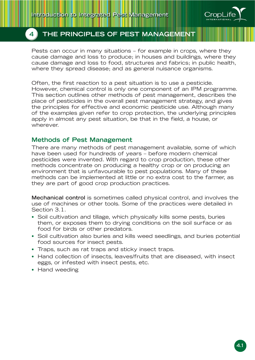

Pests can occur in many situations – for example in crops, where they cause damage and loss to produce; in houses and buildings, where they cause damage and loss to food, structures and fabrics; in public health, where they spread disease; and as general nuisance organisms.

Often, the first reaction to a pest situation is to use a pesticide. However, chemical control is only one component of an IPM programme. This section outlines other methods of pest management, describes the place of pesticides in the overall pest management strategy, and gives the principles for effective and economic pesticide use. Although many of the examples given refer to crop protection, the underlying principles apply in almost any pest situation, be that in the field, a house, or wherever.

## **Methods of Pest Management**

There are many methods of pest management available, some of which have been used for hundreds of years – before modern chemical pesticides were invented. With regard to crop production, these other methods concentrate on producing a healthy crop or on producing an environment that is unfavourable to pest populations. Many of these methods can be implemented at little or no extra cost to the farmer, as they are part of good crop production practices.

**Mechanical control** is sometimes called physical control, and involves the use of machines or other tools. Some of the practices were detailed in Section 3.1.

- Soil cultivation and tillage, which physically kills some pests, buries them, or exposes them to drying conditions on the soil surface or as food for birds or other predators.
- Soil cultivation also buries and kills weed seedlings, and buries potential food sources for insect pests.
- Traps, such as rat traps and sticky insect traps.
- Hand collection of insects, leaves/fruits that are diseased, with insect eggs, or infested with insect pests, etc.
- Hand weeding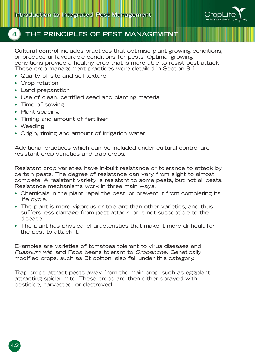

**Cultural control** includes practices that optimise plant growing conditions, or produce unfavourable conditions for pests. Optimal growing conditions provide a healthy crop that is more able to resist pest attack. These crop management practices were detailed in Section 3.1.

- Quality of site and soil texture
- Crop rotation
- Land preparation
- Use of clean, certified seed and planting material
- Time of sowing
- Plant spacing
- Timing and amount of fertiliser
- Weeding
- Origin, timing and amount of irrigation water

Additional practices which can be included under cultural control are resistant crop varieties and trap crops.

Resistant crop varieties have in-built resistance or tolerance to attack by certain pests. The degree of resistance can vary from slight to almost complete. A resistant variety is resistant to some pests, but not all pests. Resistance mechanisms work in three main ways:

- Chemicals in the plant repel the pest, or prevent it from completing its life cycle.
- The plant is more vigorous or tolerant than other varieties, and thus suffers less damage from pest attack, or is not susceptible to the disease.
- The plant has physical characteristics that make it more difficult for the pest to attack it.

Examples are varieties of tomatoes tolerant to virus diseases and Fusarium wilt, and Faba beans tolerant to Orobanche. Genetically modified crops, such as Bt cotton, also fall under this category.

Trap crops attract pests away from the main crop, such as eggplant attracting spider mite. These crops are then either sprayed with pesticide, harvested, or destroyed.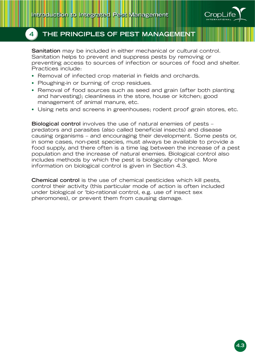

**Sanitation** may be included in either mechanical or cultural control. Sanitation helps to prevent and suppress pests by removing or preventing access to sources of infection or sources of food and shelter. Practices include:

- Removal of infected crop material in fields and orchards.
- Ploughing-in or burning of crop residues.
- Removal of food sources such as seed and grain (after both planting and harvesting); cleanliness in the store, house or kitchen; good management of animal manure, etc.
- Using nets and screens in greenhouses; rodent proof grain stores, etc.

**Biological control** involves the use of natural enemies of pests – predators and parasites (also called beneficial insects) and disease causing organisms – and encouraging their development. Some pests or, in some cases, non-pest species, must always be available to provide a food supply, and there often is a time lag between the increase of a pest population and the increase of natural enemies. Biological control also includes methods by which the pest is biologically changed. More information on biological control is given in Section 4.3.

**Chemical control** is the use of chemical pesticides which kill pests, control their activity (this particular mode of action is often included under biological or 'bio-rational control, e.g. use of insect sex pheromones), or prevent them from causing damage.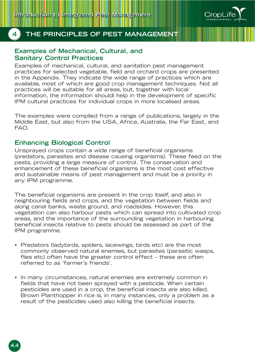

#### **Examples of Mechanical, Cultural, and Sanitary Control Practices**

Examples of mechanical, cultural, and sanitation pest management practices for selected vegetable, field and orchard crops are presented in the Appendix. They indicate the wide range of practices which are available, most of which are good crop management techniques. Not all practices will be suitable for all areas, but, together with local information, the information shouldl help in the development of specific IPM cultural practices for individual crops in more localised areas.

The examples were compiled from a range of publications, largely in the Middle East, but also from the USA, Africa, Australia, the Far East, and FAO.

#### **Enhancing Biological Control**

Unsprayed crops contain a wide range of beneficial organisms (predators, parasites and disease causing organisms). These feed on the pests, providing a large measure of control. The conservation and enhancement of these beneficial organisms is the most cost effective and sustainable means of pest management and must be a priority in any IPM programme.

The beneficial organisms are present in the crop itself, and also in neighbouring fields and crops, and the vegetation between fields and along canal banks, waste ground, and roadsides. However, this vegetation can also harbour pests which can spread into cultivated crop areas, and the importance of the surrounding vegetation in harbouring beneficial insects relative to pests should be assessed as part of the IPM programme.

- Predators (ladybirds, spiders, lacewings, birds etc) are the most commonly observed natural enemies, but parasites (parasitic wasps, flies etc) often have the greater control effect – these are often referred to as 'farmer's friends'.
- In many circumstances, natural enemies are extremely common in fields that have not been sprayed with a pesticide. When certain pesticides are used in a crop, the beneficial insects are also killed. Brown Planthopper in rice is, in many instances, only a problem as a result of the pesticides used also killing the beneficial insects.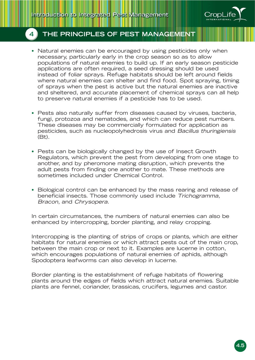

- Natural enemies can be encouraged by using pesticides only when necessary, particularly early in the crop season so as to allow populations of natural enemies to build up. If an early season pesticide applications are often required, a seed dressing should be used instead of foliar sprays. Refuge habitats should be left around fields where natural enemies can shelter and find food. Spot spraying, timing of sprays when the pest is active but the natural enemies are inactive and sheltered, and accurate placement of chemical sprays can all help to preserve natural enemies if a pesticide has to be used.
- Pests also naturally suffer from diseases caused by viruses, bacteria, fungi, protozoa and nematodes, and which can reduce pest numbers. These diseases may be commercially formulated for application as pesticides, such as nucleopolyhedrosis virus and Bacillus thuringiensis (Bt).
- Pests can be biologically changed by the use of Insect Growth Regulators, which prevent the pest from developing from one stage to another, and by pheromone mating disruption, which prevents the adult pests from finding one another to mate. These methods are sometimes included under Chemical Control.
- Biological control can be enhanced by the mass rearing and release of beneficial insects. Those commonly used include Trichogramma, Bracon, and Chrysopera.

In certain circumstances, the numbers of natural enemies can also be enhanced by intercropping, border planting, and relay cropping.

Intercropping is the planting of strips of crops or plants, which are either habitats for natural enemies or which attract pests out of the main crop, between the main crop or next to it. Examples are lucerne in cotton, which encourages populations of natural enemies of aphids, although Spodoptera leafworms can also develop in lucerne.

Border planting is the establishment of refuge habitats of flowering plants around the edges of fields which attract natural enemies. Suitable plants are fennel, coriander, brassicas, crucifers, legumes and castor.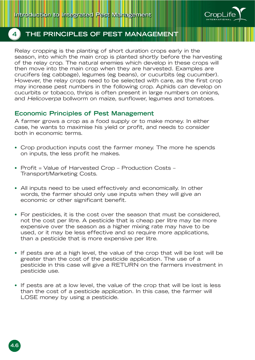

Relay cropping is the planting of short duration crops early in the season, into which the main crop is planted shortly before the harvesting of the relay crop. The natural enemies which develop in these crops will then move into the main crop when they are harvested. Examples are crucifers (eg cabbage), legumes (eg beans), or cucurbits (eg cucumber). However, the relay crops need to be selected with care, as the first crop may increase pest numbers in the following crop. Aphids can develop on cucurbits or tobacco, thrips is often present in large numbers on onions, and Helicoverpa bollworm on maize, sunflower, legumes and tomatoes.

#### **Economic Principles of Pest Management**

A farmer grows a crop as a food supply or to make money. In either case, he wants to maximise his yield or profit, and needs to consider both in economic terms.

- Crop production inputs cost the farmer money. The more he spends on inputs, the less profit he makes.
- Profit = Value of Harvested Crop Production Costs Transport/Marketing Costs.
- All inputs need to be used effectively and economically. In other words, the farmer should only use inputs when they will give an economic or other significant benefit.
- For pesticides, it is the cost over the season that must be considered, not the cost per litre. A pesticide that is cheap per litre may be more expensive over the season as a higher mixing rate may have to be used, or it may be less effective and so require more applications, than a pesticide that is more expensive per litre.
- If pests are at a high level, the value of the crop that will be lost will be greater than the cost of the pesticide application. The use of a pesticide in this case will give a RETURN on the farmers investment in pesticide use.
- If pests are at a low level, the value of the crop that will be lost is less than the cost of a pesticide application. In this case, the farmer will LOSE money by using a pesticide.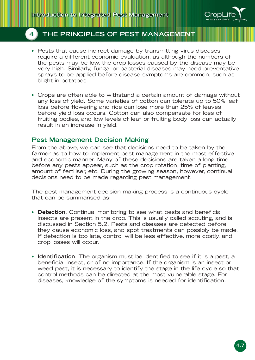

- Pests that cause indirect damage by transmitting virus diseases require a different economic evaluation, as although the numbers of the pests may be low, the crop losses caused by the disease may be very high. Similarly, fungal or bacterial diseases may need preventative sprays to be applied before disease symptoms are common, such as blight in potatoes.
- Crops are often able to withstand a certain amount of damage without any loss of yield. Some varieties of cotton can tolerate up to 50% leaf loss before flowering and rice can lose more than 25% of leaves before yield loss occurs. Cotton can also compensate for loss of fruiting bodies, and low levels of leaf or fruiting body loss can actually result in an increase in yield.

### **Pest Management Decision Making**

From the above, we can see that decisions need to be taken by the farmer as to how to implement pest management in the most effective and economic manner. Many of these decisions are taken a long time before any pests appear, such as the crop rotation, time of planting, amount of fertiliser, etc. During the growing season, however, continual decisions need to be made regarding pest management.

The pest management decision making process is a continuous cycle that can be summarised as:

- **Detection**. Continual monitoring to see what pests and beneficial insects are present in the crop. This is usually called scouting, and is discussed in Section 5.2. Pests and diseases are detected before they cause economic loss, and spot treatments can possibly be made. If detection is too late, control will be less effective, more costly, and crop losses will occur.
- **Identification**. The organism must be identified to see if it is a pest, a beneficial insect, or of no importance. If the organism is an insect or weed pest, it is necessary to identify the stage in the life cycle so that control methods can be directed at the most vulnerable stage. For diseases, knowledge of the symptoms is needed for identification.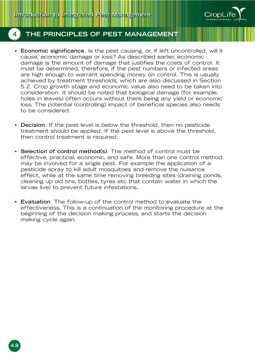

- **Economic significance**. Is the pest causing, or, if left uncontrolled, will it cause, economic damage or loss? As described earlier, economic damage is the amount of damage that justifies the costs of control. It must be determined, therefore, if the pest numbers or infected areas are high enough to warrant spending money on control. This is usually achieved by treatment thresholds, which are also discussed in Section 5.2. Crop growth stage and economic value also need to be taken into consideration. It should be noted that biological damage (for example, holes in leaves) often occurs without there being any yield or economic loss. The potential (controlling) impact of beneficial species also needs to be considered.
- **Decision**. If the pest level is below the threshold, then no pesticide treatment should be applied. If the pest level is above the threshold, then control treatment is required.
- **Selection of control method(s)**. The method of control must be effective, practical, economic, and safe. More than one control method may be involved for a single pest. For example the application of a pesticide spray to kill adult mosquitoes and remove the nuisance effect, while at the same time removing breeding sites (draining ponds, cleaning up old tins, bottles, tyres etc that contain water in which the larvae live) to prevent future infestations.
- **Evaluation**. The follow-up of the control method to evaluate the effectiveness. This is a continuation of the monitoring procedure at the beginning of the decision making process, and starts the decision making cycle again.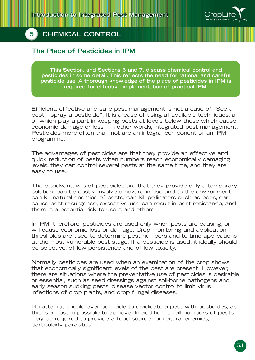

## **The Place of Pesticides in IPM**

**This Section, and Sections 6 and 7, discuss chemical control and pesticides in some detail. This reflects the need for rational and careful pesticide use. A thorough knowledge of the place of pesticides in IPM is required for effective implementation of practical IPM.**

Efficient, effective and safe pest management is not a case of "See a pest – spray a pesticide". It is a case of using all available techniques, all of which play a part in keeping pests at levels below those which cause economic damage or loss – in other words, integrated pest management. Pesticides more often than not are an integral component of an IPM programme.

The advantages of pesticides are that they provide an effective and quick reduction of pests when numbers reach economically damaging levels, they can control several pests at the same time, and they are easy to use.

The disadvantages of pesticides are that they provide only a temporary solution, can be costly, involve a hazard in use and to the environment, can kill natural enemies of pests, can kill pollinators such as bees, can cause pest resurgence, excessive use can result in pest resistance, and there is a potential risk to users and others.

In IPM, therefore, pesticides are used only when pests are causing, or will cause economic loss or damage. Crop monitoring and application thresholds are used to determine pest numbers and to time applications at the most vulnerable pest stage. If a pesticide is used, it ideally should be selective, of low persistence and of low toxicity.

Normally pesticides are used when an examination of the crop shows that economically significant levels of the pest are present. However, there are situations where the preventative use of pesticides is desirable or essential, such as seed dressings against soil-borne pathogens and early season sucking pests, disease vector control to limit virus infections of crop plants, and crop fungal diseases.

No attempt should ever be made to eradicate a pest with pesticides, as this is almost impossible to achieve. In addition, small numbers of pests may be required to provide a food source for natural enemies, particularly parasites.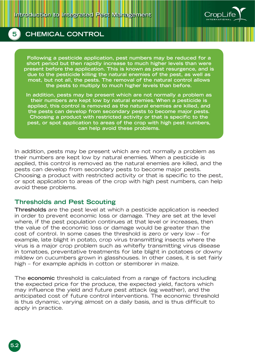

**Following a pesticide application, pest numbers may be reduced for a short period but then rapidly increase to much higher levels than were present before the application. This is known as pest resurgence, and is due to the pesticide killing the natural enemies of the pest, as well as most, but not all, the pests. The removal of the natural control allows the pests to multiply to much higher levels than before.**

**In addition, pests may be present which are not normally a problem as their numbers are kept low by natural enemies. When a pesticide is applied, this control is removed as the natural enemies are killed, and the pests can develop from secondary pests to become major pests. Choosing a product with restricted activity or that is specific to the pest, or spot application to areas of the crop with high pest numbers, can help avoid these problems.**

In addition, pests may be present which are not normally a problem as their numbers are kept low by natural enemies. When a pesticide is applied, this control is removed as the natural enemies are killed, and the pests can develop from secondary pests to become major pests. Choosing a product with restricted activity or that is specific to the pest, or spot application to areas of the crop with high pest numbers, can help avoid these problems.

#### **Thresholds and Pest Scouting**

**Thresholds** are the pest level at which a pesticide application is needed in order to prevent economic loss or damage. They are set at the level where, if the pest population continues at that level or increases, then the value of the economic loss or damage would be greater than the cost of control. In some cases the threshold is zero or very low – for example, late blight in potato, crop virus transmitting insects where the virus is a major crop problem such as whitefly transmitting virus disease in tomatoes, preventative treatments for late blight in potatoes or downy mildew on cucumbers grown in glasshouses. In other cases, it is set fairly high – for example aphids in cotton or stemborer in maize.

The **economic** threshold is calculated from a range of factors including the expected price for the produce, the expected yield, factors which may influence the yield and future pest attack (eg weather), and the anticipated cost of future control interventions. The economic threshold is thus dynamic, varying almost on a daily basis, and is thus difficult to apply in practice.

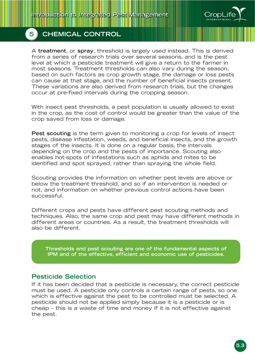

A **treatment**, or **spray**, threshold is largely used instead. This is derived from a series of research trials over several seasons, and is the pest level at which a pesticide treatment will give a return to the farmer in most seasons. Treatment thresholds can also vary during the season, based on such factors as crop growth stage, the damage or loss pests can cause at that stage, and the number of beneficial insects present. These variations are also derived from research trials, but the changes occur at pre-fixed intervals during the cropping season.

With insect pest thresholds, a pest population is usually allowed to exist in the crop, as the cost of control would be greater than the value of the crop saved from loss or damage.

**Pest scouting** is the term given to monitoring a crop for levels of insect pests, disease infestation, weeds, and beneficial insects, and the growth stages of the insects. It is done on a regular basis, the intervals depending on the crop and the pests of importance. Scouting also enables hot-spots of infestations such as aphids and mites to be identified and spot sprayed, rather than spraying the whole field.

Scouting provides the information on whether pest levels are above or below the treatment threshold, and so if an intervention is needed or not, and information on whether previous control actions have been successful.

Different crops and pests have different pest scouting methods and techniques. Also, the same crop and pest may have different methods in different areas or countries. As a result, the treatment thresholds will also be different.

**Thresholds and pest scouting are one of the fundamental aspects of IPM and of the effective, efficient and economic use of pesticides.**

### **Pesticide Selection**

If it has been decided that a pesticide is necessary, the correct pesticide must be used. A pesticide only controls a certain range of pests, so one which is effective against the pest to be controlled must be selected. A pesticide should not be applied simply because it is a pesticide or is cheap – this is a waste of time and money if it is not effective against the pest.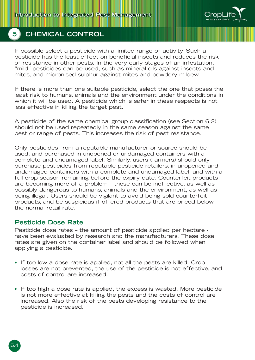

If possible select a pesticide with a limited range of activity. Such a pesticide has the least effect on beneficial insects and reduces the risk of resistance in other pests. In the very early stages of an infestation, "mild" pesticides can be used, such as mineral oils against insects and mites, and micronised sulphur against mites and powdery mildew.

If there is more than one suitable pesticide, select the one that poses the least risk to humans, animals and the environment under the conditions in which it will be used. A pesticide which is safer in these respects is not less effective in killing the target pest.

A pesticide of the same chemical group classification (see Section 6.2) should not be used repeatedly in the same season against the same pest or range of pests. This increases the risk of pest resistance.

Only pesticides from a reputable manufacturer or source should be used, and purchased in unopened or undamaged containers with a complete and undamaged label. Similarly, users (farmers) should only purchase pesticides from reputable pesticide retailers, in unopened and undamaged containers with a complete and undamaged label, and with a full crop season remaining before the expiry date. Counterfeit products are becoming more of a problem – these can be ineffective, as well as possibly dangerous to humans, animals and the environment, as well as being illegal. Users should be vigilant to avoid being sold counterfeit products, and be suspicious if offered products that are priced below the normal retail rate.

### **Pesticide Dose Rate**

Pesticide dose rates – the amount of pesticide applied per hectare have been evaluated by research and the manufacturers. These dose rates are given on the container label and should be followed when applying a pesticide.

- If too low a dose rate is applied, not all the pests are killed. Crop losses are not prevented, the use of the pesticide is not effective, and costs of control are increased.
- If too high a dose rate is applied, the excess is wasted. More pesticide is not more effective at killing the pests and the costs of control are increased. Also the risk of the pests developing resistance to the pesticide is increased.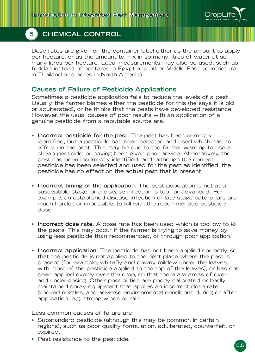

Dose rates are given on the container label either as the amount to apply per hectare, or as the amount to mix in so many litres of water at so many litres per hectare. Local measurements may also be used, such as feddan instead of hectares in Egypt and other Middle East countries, rai in Thailand and acres in North America.

### **Causes of Failure of Pesticide Applications**

Sometimes a pesticide application fails to reduce the levels of a pest. Usually, the farmer blames either the pesticide for this (he says it is old or adulterated), or he thinks that the pests have developed resistance. However, the usual causes of poor results with an application of a genuine pesticide from a reputable source are:

- **Incorrect pesticide for the pest**. The pest has been correctly identified, but a pesticide has been selected and used which has no effect on the pest. This may be due to the farmer wanting to use a cheap pesticide, or having been given poor advice. Alternatively, the pest has been incorrectly identified, and, although the correct pesticide has been selected and used for the pest as identified, the pesticide has no effect on the actual pest that is present.
- **Incorrect timing of the application**. The pest population is not at a susceptible stage, or a disease infection is too far advanced. For example, an established disease infection or late stage caterpillars are much harder, or impossible, to kill with the recommended pesticide dose.
- **Incorrect dose rate**. A dose rate has been used which is too low to kill the pests. This may occur if the farmer is trying to save money by using less pesticide than recommended, or through poor application.
- **Incorrect application**. The pesticide has not been applied correctly, so that the pesticide is not applied to the right place where the pest is present (for example, whitefly and downy mildew under the leaves, with most of the pesticide applied to the top of the leaves), or has not been applied evenly over the crop, so that there are areas of overand under-dosing. Other possibilities are poorly calibrated or badly maintained spray equipment that applies an incorrect dose rate, blocked nozzles, and adverse environmental conditions during or after application, e.g. strong winds or rain.

Less common causes of failure are:

- Substandard pesticide (although this may be common in certain regions), such as poor quality formulation, adulterated, counterfeit, or expired.
- Pest resistance to the pesticide.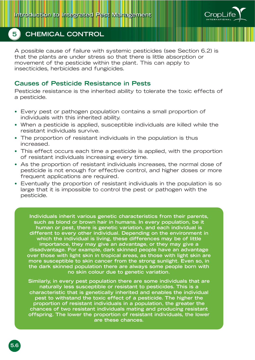

A possible cause of failure with systemic pesticides (see Section 6.2) is that the plants are under stress so that there is little absorption or movement of the pesticide within the plant. This can apply to insecticides, herbicides and fungicides.

### **Causes of Pesticide Resistance in Pests**

Pesticide resistance is the inherited ability to tolerate the toxic effects of a pesticide.

- Every pest or pathogen population contains a small proportion of individuals with this inherited ability.
- When a pesticide is applied, susceptible individuals are killed while the resistant individuals survive.
- The proportion of resistant individuals in the population is thus increased.
- This effect occurs each time a pesticide is applied, with the proportion of resistant individuals increasing every time.
- As the proportion of resistant individuals increases, the normal dose of pesticide is not enough for effective control, and higher doses or more frequent applications are required.
- Eventually the proportion of resistant individuals in the population is so large that it is impossible to control the pest or pathogen with the pesticide.

**Individuals inherit various genetic characteristics from their parents, such as blond or brown hair in humans. In every population, be it human or pest, there is genetic variation, and each individual is different to every other individual. Depending on the environment in which the individual is living, these differences may be of little importance, they may give an advantage, or they may give a disadvantage. For example, dark skinned people have an advantage over those with light skin in tropical areas, as those with light skin are more susceptible to skin cancer from the strong sunlight. Even so, in the dark skinned population there are always some people born with no skin colour due to genetic variation.**

**Similarly, in every pest population there are some individuals that are naturally less susceptible or resistant to pesticides. This is a characteristic that is genetically inherited and enables the individual pest to withstand the toxic effect of a pesticide. The higher the proportion of resistant individuals in a population, the greater the chances of two resistant individuals mating and producing resistant offspring. The lower the proportion of resistant individuals, the lower are these chances.**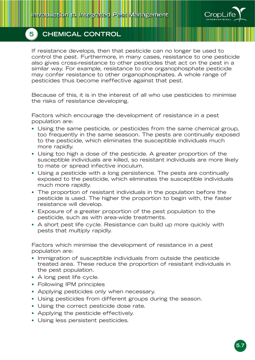

If resistance develops, then that pesticide can no longer be used to control the pest. Furthermore, in many cases, resistance to one pesticide also gives cross-resistance to other pesticides that act on the pest in a similar way. For example, resistance to one organophosphate pesticide may confer resistance to other organophosphates. A whole range of pesticides thus become ineffective against that pest.

Because of this, it is in the interest of all who use pesticides to minimise the risks of resistance developing.

Factors which encourage the development of resistance in a pest population are:

- Using the same pesticide, or pesticides from the same chemical group, too frequently in the same seasoon. The pests are continually exposed to the pesticide, which eliminates the susceptible individuals much more rapidly.
- Using too high a dose of the pesticide. A greater proportion of the susceptible individuals are killed, so resistant individuals are more likely to mate or spread infective inoculum.
- Using a pesticide with a long persistence. The pests are continually exposed to the pesticide, which eliminates the susceptible individuals much more rapidly.
- The proportion of resistant individuals in the population before the pesticide is used. The higher the proportion to begin with, the faster resistance will develop.
- Exposure of a greater proportion of the pest population to the pesticide, such as with area-wide treatments.
- A short pest life cycle. Resistance can build up more quickly with pests that multiply rapidly.

Factors which minimise the development of resistance in a pest population are:

- Immigration of susceptible individuals from outside the pesticide treated area. These reduce the proportion of resistant individuals in the pest population.
- A long pest life cycle.
- Following IPM principles
- Applying pesticides only when necessary.
- Using pesticides from different groups during the season.
- Using the correct pesticide dose rate.
- Applying the pesticide effectively.
- Using less persistent pesticides.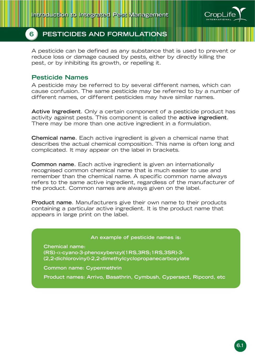

## **6 PESTICIDES AND FORMULATIONS**

A pesticide can be defined as any substance that is used to prevent or reduce loss or damage caused by pests, either by directly killing the pest, or by inhibiting its growth, or repelling it.

## **Pesticide Names**

A pesticide may be referred to by several different names, which can cause confusion. The same pesticide may be referred to by a number of different names, or different pesticides may have similar names.

**Active Ingredient**. Only a certain component of a pesticide product has activity against pests. This component is called the **active ingredient**. There may be more than one active ingredient in a formulation.

**Chemical name**. Each active ingredient is given a chemical name that describes the actual chemical composition. This name is often long and complicated. It may appear on the label in brackets.

**Common name**. Each active ingredient is given an internationally recognised common chemical name that is much easier to use and remember than the chemical name. A specific common name always refers to the same active ingredient, regardless of the manufacturer of the product. Common names are always given on the label.

**Product name**. Manufacturers give their own name to their products containing a particular active ingredient. It is the product name that appears in large print on the label.

#### **An example of pesticide names is:**

**Chemical name: (RS)-**α**-cyano-3-phenoxybenzyl(1RS,3RS;1RS,3SR)-3- (2,2-dichlorovinyl)-2,2-dimethylcyclopropanecarboxylate**

**Common name: Cypermethrin**

**Product names: Arrivo, Basathrin, Cymbush, Cypersect, Ripcord, etc**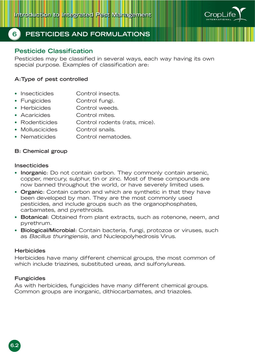

## **6 PESTICIDES AND FORMULATIONS**

## **Pesticide Classification**

Pesticides may be classified in several ways, each way having its own special purpose. Examples of classification are:

#### **A:Type of pest controlled**

- Insecticides Control insects.
- Fungicides Control fungi.
- Herbicides Control weeds.
- Acaricides Control mites.
- Rodenticides Control rodents (rats, mice).
- Molluscicides Control snails.
- Nematicides Control nematodes.

#### **B: Chemical group**

#### **Insecticides**

- **Inorganic**: Do not contain carbon. They commonly contain arsenic, copper, mercury, sulphur, tin or zinc. Most of these compounds are now banned throughout the world, or have severely limited uses.
- **Organic**: Contain carbon and which are synthetic in that they have been developed by man. They are the most commonly used pesticides, and include groups such as the organophosphates, carbamates, and pyrethroids.
- **Botanical**: Obtained from plant extracts, such as rotenone, neem, and pyrethrum.
- **Biological/Microbial**: Contain bacteria, fungi, protozoa or viruses, such as Bacillus thuringiensis, and Nucleopolyhedrosis Virus.

#### **Herbicides**

Herbicides have many different chemical groups, the most common of which include triazines, substituted ureas, and sulfonylureas.

#### **Fungicides**

As with herbicides, fungicides have many different chemical groups. Common groups are inorganic, dithiocarbamates, and triazoles.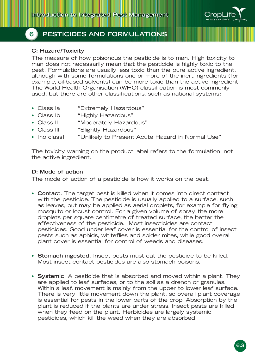

## **6 PESTICIDES AND FORMULATIONS**

#### **C: Hazard/Toxicity**

The measure of how poisonous the pesticide is to man. High toxicity to man does not necessarily mean that the pesticide is highly toxic to the pest. Formulations are usually less toxic than the pure active ingredient, although with some formulations one or more of the inert ingredients (for example, oil-based solvents) can be more toxic than the active ingredient. The World Health Organisation (WHO) classification is most commonly used, but there are other classifications, such as national systems:

- Class Ia "Extremely Hazardous"
- Class Ib "Highly Hazardous"
- Class II "Moderately Hazardous"
- Class III "Slightly Hazardous"
- [no class] "Unlikely to Present Acute Hazard in Normal Use"

The toxicity warning on the product label refers to the formulation, not the active ingredient.

#### **D: Mode of action**

The mode of action of a pesticide is how it works on the pest.

- **Contact**. The target pest is killed when it comes into direct contact with the pesticide. The pesticide is usually applied to a surface, such as leaves, but may be applied as aerial droplets, for example for flying mosquito or locust control. For a given volume of spray, the more droplets per square centimetre of treated surface, the better the effectiveness of the pesticide. Most insecticides are contact pesticides. Good under leaf cover is essential for the control of insect pests such as aphids, whiteflies and spider mites, while good overall plant cover is essential for control of weeds and diseases.
- **Stomach ingested**. Insect pests must eat the pesticide to be killed. Most insect contact pesticides are also stomach poisons.
- **Systemic**. A pesticide that is absorbed and moved within a plant. They are applied to leaf surfaces, or to the soil as a drench or granules. Within a leaf, movement is mainly from the upper to lower leaf surface. There is very little movement down the plant, so overall plant coverage is essential for pests in the lower parts of the crop. Absorption by the plant is reduced if the plants are under stress. Insect pests are killed when they feed on the plant. Herbicides are largely systemic pesticides, which kill the weed when they are absorbed.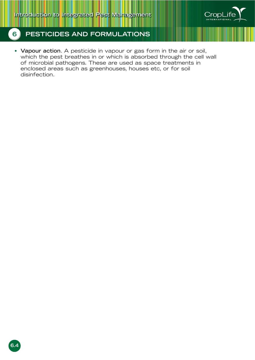

• **Vapour action**. A pesticide in vapour or gas form in the air or soil, which the pest breathes in or which is absorbed through the cell wall of microbial pathogens. These are used as space treatments in enclosed areas such as greenhouses, houses etc, or for soil disinfection.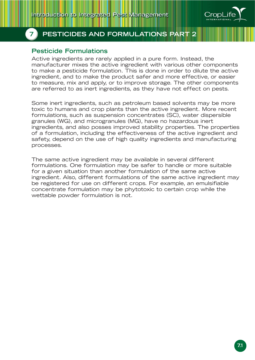

### **Pesticide Formulations**

Active ingredients are rarely applied in a pure form. Instead, the manufacturer mixes the active ingredient with various other components to make a pesticide formulation. This is done in order to dilute the active ingredient, and to make the product safer and more effective, or easier to measure, mix and apply, or to improve storage. The other components are referred to as inert ingredients, as they have not effect on pests.

Some inert ingredients, such as petroleum based solvents may be more toxic to humans and crop plants than the active ingredient. More recent formulations, such as suspension concentrates (SC), water dispersible granules (WG), and microgranules (MG), have no hazardous inert ingredients, and also posses improved stability properties. The properties of a formulation, including the effectiveness of the active ingredient and safety, depend on the use of high quality ingredients and manufacturing processes.

The same active ingredient may be available in several different formulations. One formulation may be safer to handle or more suitable for a given situation than another formulation of the same active ingredient. Also, different formulations of the same active ingredient may be registered for use on different crops. For example, an emulsifiable concentrate formulation may be phytotoxic to certain crop while the wettable powder formulation is not.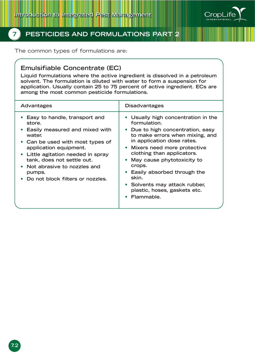

The common types of formulations are:

### **Emulsifiable Concentrate (EC)**

**Liquid formulations where the active ingredient is dissolved in a petroleum solvent. The formulation is diluted with water to form a suspension for application. Usually contain 25 to 75 percent of active ingredient. ECs are among the most common pesticide formulations.**

| <b>Advantages</b>                                                                                                                                                                                                                                                                                          | <b>Disadvantages</b>                                                                                                                                                                                                                                                                                                                                                                               |
|------------------------------------------------------------------------------------------------------------------------------------------------------------------------------------------------------------------------------------------------------------------------------------------------------------|----------------------------------------------------------------------------------------------------------------------------------------------------------------------------------------------------------------------------------------------------------------------------------------------------------------------------------------------------------------------------------------------------|
| • Easy to handle, transport and<br>store.<br>• Easily measured and mixed with<br>water.<br>• Can be used with most types of<br>application equipment.<br>• Little agitation needed in spray<br>tank, does not settle out.<br>• Not abrasive to nozzles and<br>pumps.<br>• Do not block filters or nozzles. | • Usually high concentration in the<br>formulation.<br>Due to high concentration, easy<br>to make errors when mixing, and<br>in application dose rates.<br>Mixers need more protective<br>$\bullet$<br>clothing than applicators.<br>May cause phytotoxicity to<br>crops.<br>Easily absorbed through the<br>skin.<br>• Solvents may attack rubber,<br>plastic, hoses, gaskets etc.<br>• Flammable. |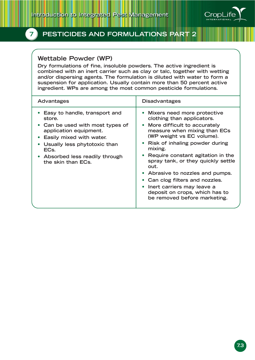

### **Wettable Powder (WP)**

**Dry formulations of fine, insoluble powders. The active ingredient is combined with an inert carrier such as clay or talc, together with wetting and/or dispersing agents. The formulation is diluted with water to form a suspension for application. Usually contain more than 50 percent active ingredient. WPs are among the most common pesticide formulations.**

| <b>Advantages</b>                                                                                                                                                                                                                      | <b>Disadvantages</b>                                                                                                                                                                                                                                                                                                                                                                                                                                          |
|----------------------------------------------------------------------------------------------------------------------------------------------------------------------------------------------------------------------------------------|---------------------------------------------------------------------------------------------------------------------------------------------------------------------------------------------------------------------------------------------------------------------------------------------------------------------------------------------------------------------------------------------------------------------------------------------------------------|
| • Easy to handle, transport and<br>store.<br>• Can be used with most types of<br>application equipment.<br>• Easily mixed with water.<br>Usually less phytotoxic than<br>ECs.<br>• Absorbed less readily through<br>the skin than ECs. | • Mixers need more protective<br>clothing than applicators.<br>More difficult to accurately<br>measure when mixing than ECs<br>(WP weight vs EC volume).<br>Risk of inhaling powder during<br>mixing.<br>Require constant agitation in the<br>spray tank, or they quickly settle<br>out.<br>• Abrasive to nozzles and pumps.<br>Can clog filters and nozzles.<br>Inert carriers may leave a<br>deposit on crops, which has to<br>be removed before marketing. |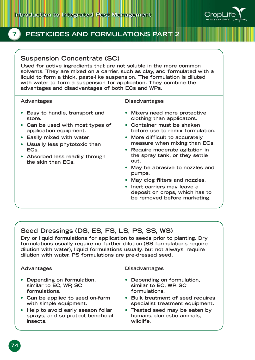

## **Suspension Concentrate (SC)**

**Used for active ingredients that are not soluble in the more common solvents. They are mixed on a carrier, such as clay, and formulated with a liquid to form a thick, paste-like suspension. The formulation is diluted with water to form a suspension for application. They combine the advantages and disadvantages of both ECs and WPs.**

| Advantages                                                                                                                                                                                                                         | <b>Disadvantages</b>                                                                                                                                                                                                                                                                                                                                                                                                                                     |
|------------------------------------------------------------------------------------------------------------------------------------------------------------------------------------------------------------------------------------|----------------------------------------------------------------------------------------------------------------------------------------------------------------------------------------------------------------------------------------------------------------------------------------------------------------------------------------------------------------------------------------------------------------------------------------------------------|
| Easy to handle, transport and<br>store.<br>• Can be used with most types of<br>application equipment.<br>Easily mixed with water.<br>Usually less phytotoxic than<br>ECs.<br>• Absorbed less readily through<br>the skin than ECs. | • Mixers need more protective<br>clothing than applicators.<br>• Container must be shaken<br>before use to remix formulation.<br>More difficult to accurately<br>measure when mixing than ECs.<br>Require moderate agitation in<br>the spray tank, or they settle<br>out.<br>May be abrasive to nozzles and<br>pumps.<br>May clog filters and nozzles.<br>• Inert carriers may leave a<br>deposit on crops, which has to<br>be removed before marketing. |
|                                                                                                                                                                                                                                    |                                                                                                                                                                                                                                                                                                                                                                                                                                                          |

## **Seed Dressings (DS, ES, FS, LS, PS, SS, WS)**

**Dry or liquid formulations for application to seeds prior to planting. Dry formulations usually require no further dilution (SS formulations require dilution with water), liquid formulations usually, but not always, require dilution with water. PS formulations are pre-dressed seed.**

| <b>Advantages</b>                   | <b>Disadvantages</b>              |
|-------------------------------------|-----------------------------------|
| • Depending on formulation,         | • Depending on formulation,       |
| similar to EC, WP, SC               | similar to EC, WP, SC             |
| formulations.                       | formulations.                     |
| • Can be applied to seed on-farm    | • Bulk treatment of seed requires |
| with simple equipment.              | specialist treatment equipment.   |
| • Help to avoid early season foliar | • Treated seed may be eaten by    |
| sprays, and so protect beneficial   | humans, domestic animals,         |
| insects.                            | wildlife.                         |
|                                     |                                   |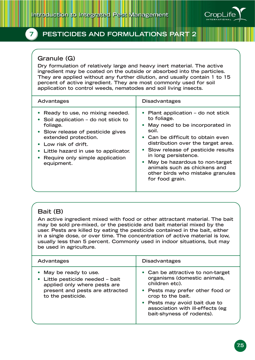

## **Granule (G)**

**Dry formulation of relatively large and heavy inert material. The active ingredient may be coated on the outside or absorbed into the particles. They are applied without any further dilution, and usually contain 1 to 15 percent of active ingredient. They are most commonly used for soil application to control weeds, nematodes and soil living insects.**

| <b>Advantages</b>                                                                                                                                                                                                                                                  | <b>Disadvantages</b>                                                                                                                                                                                                                                                                                                                                                |
|--------------------------------------------------------------------------------------------------------------------------------------------------------------------------------------------------------------------------------------------------------------------|---------------------------------------------------------------------------------------------------------------------------------------------------------------------------------------------------------------------------------------------------------------------------------------------------------------------------------------------------------------------|
| • Ready to use, no mixing needed.<br>• Soil application – do not stick to<br>foliage.<br>• Slow release of pesticide gives<br>extended protection.<br>• Low risk of drift.<br>Little hazard in use to applicator.<br>Require only simple application<br>equipment. | • Plant application – do not stick<br>to foliage.<br>• May need to be incorporated in<br>soil.<br>• Can be difficult to obtain even<br>distribution over the target area.<br>• Slow release of pesticide results<br>in long persistence.<br>• May be hazardous to non-target<br>animals such as chickens and<br>other birds who mistake granules<br>for food grain. |

# **Bait (B)**

**An active ingredient mixed with food or other attractant material. The bait may be sold pre-mixed, or the pesticide and bait material mixed by the user. Pests are killed by eating the pesticide contained in the bait, either in a single dose, or over time. The concentration of active material is low, usually less than 5 percent. Commonly used in indoor situations, but may be used in agriculture.**

| Advantages                                                                                                                                         | <b>Disadvantages</b>                                                                                                                                                                                                                           |
|----------------------------------------------------------------------------------------------------------------------------------------------------|------------------------------------------------------------------------------------------------------------------------------------------------------------------------------------------------------------------------------------------------|
| • May be ready to use.<br>• Little pesticide needed - bait<br>applied only where pests are<br>present and pests are attracted<br>to the pesticide. | • Can be attractive to non-target<br>organisms (domestic animals,<br>children etc).<br>• Pests may prefer other food or<br>crop to the bait.<br>• Pests may avoid bait due to<br>association with ill-effects (eg<br>bait-shyness of rodents). |
|                                                                                                                                                    |                                                                                                                                                                                                                                                |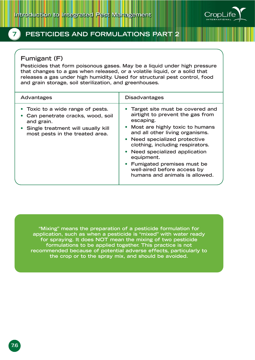

### **Fumigant (F)**

**Pesticides that form poisonous gases. May be a liquid under high pressure that changes to a gas when released, or a volatile liquid, or a solid that releases a gas under high humidity. Used for structural pest control, food and grain storage, soil sterilization, and greenhouses.**

| • Toxic to a wide range of pests.<br>airtight to prevent the gas from<br>• Can penetrate cracks, wood, soil<br>escaping.                                                                                                                                                                                                                                              | <b>Advantages</b> | <b>Disadvantages</b>              |
|-----------------------------------------------------------------------------------------------------------------------------------------------------------------------------------------------------------------------------------------------------------------------------------------------------------------------------------------------------------------------|-------------------|-----------------------------------|
| • Most are highly toxic to humans<br>• Single treatment will usually kill<br>and all other living organisms.<br>most pests in the treated area.<br>• Need specialized protective<br>clothing, including respirators.<br>• Need specialized application<br>equipment.<br>• Fumigated premises must be<br>well-aired before access by<br>humans and animals is allowed. | and grain.        | • Target site must be covered and |

**"Mixing" means the preparation of a pesticide formulation for application, such as when a pesticide is "mixed" with water ready for spraying. It does NOT mean the mixing of two pesticide formulations to be applied together. This practice is not recommended because of potential adverse effects, particularly to the crop or to the spray mix, and should be avoided.**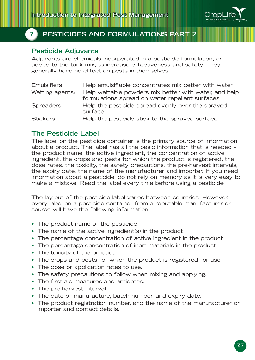

### **Pesticide Adjuvants**

Adjuvants are chemicals incorporated in a pesticide formulation, or added to the tank mix, to increase effectiveness and safety. They generally have no effect on pests in themselves.

| Emulsifiers:    | Help emulsifiable concentrates mix better with water.                                                     |
|-----------------|-----------------------------------------------------------------------------------------------------------|
| Wetting agents: | Help wettable powders mix better with water, and help<br>formulations spread on water repellent surfaces. |
| Spreaders:      | Help the pesticide spread evenly over the sprayed<br>surface.                                             |
| Stickers:       | Help the pesticide stick to the sprayed surface.                                                          |

#### **The Pesticide Label**

The label on the pesticide container is the primary source of information about a product. The label has all the basic information that is needed – the product name, the active ingredient, the concentration of active ingredient, the crops and pests for which the product is registered, the dose rates, the toxicity, the safety precautions, the pre-harvest intervals, the expiry date, the name of the manufacturer and importer. If you need information about a pesticide, do not rely on memory as it is very easy to make a mistake. Read the label every time before using a pesticide.

The lay-out of the pesticide label varies between countries. However, every label on a pesticide container from a reputable manufacturer or source will have the following information:

- The product name of the pesticide
- The name of the active ingredient(s) in the product.
- The percentage concentration of active ingredient in the product.
- The percentage concentration of inert materials in the product.
- The toxicity of the product.
- The crops and pests for which the product is registered for use.
- The dose or application rates to use.
- The safety precautions to follow when mixing and applying.
- The first aid measures and antidotes.
- The pre-harvest interval.
- The date of manufacture, batch number, and expiry date.
- The product registration number, and the name of the manufacturer or importer and contact details.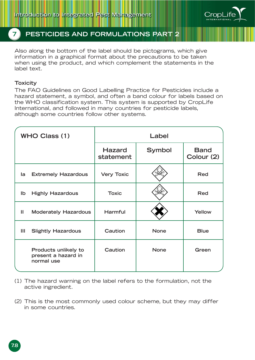

Also along the bottom of the label should be pictograms, which give information in a graphical format about the precautions to be taken when using the product, and which complement the statements in the label text.

#### **Toxicity**

The FAO Guidelines on Good Labelling Practice for Pesticides include a hazard statement, a symbol, and often a band colour for labels based on the WHO classification system. This system is supported by CropLife International, and followed in many countries for pesticide labels, although some countries follow other systems.

|              | <b>WHO Class (1)</b>                                      |                            | Label       |                           |
|--------------|-----------------------------------------------------------|----------------------------|-------------|---------------------------|
|              |                                                           | <b>Hazard</b><br>statement | Symbol      | <b>Band</b><br>Colour (2) |
| la           | <b>Extremely Hazardous</b>                                | <b>Very Toxic</b>          |             | Red                       |
| Ib           | <b>Highly Hazardous</b>                                   | <b>Toxic</b>               |             | <b>Red</b>                |
| $\mathbf{H}$ | <b>Moderately Hazardous</b>                               | Harmful                    |             | Yellow                    |
| Ш            | <b>Slightly Hazardous</b>                                 | Caution                    | <b>None</b> | <b>Blue</b>               |
|              | Products unlikely to<br>present a hazard in<br>normal use | Caution                    | <b>None</b> | Green                     |

- (1) The hazard warning on the label refers to the formulation, not the active ingredient.
- (2) This is the most commonly used colour scheme, but they may differ in some countries.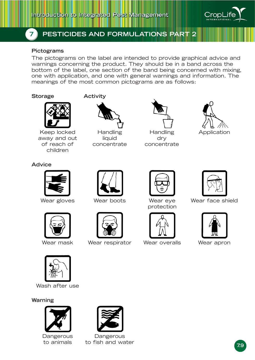

#### **Pictograms**

The pictograms on the label are intended to provide graphical advice and warnings concerning the product. They should be in a band across the bottom of the label, one section of the band being concerned with mixing, one with application, and one with general warnings and information. The meanings of the most common pictograms are as follows:

#### **Storage**



Keep locked away and out of reach of children

#### **Activity**



liquid dry concentrate concentrate















Wear mask Wear respirator Wear overalls Wear apron



protection





Wear gloves Wear boots Wear eye Wear face shield





Wash after use

#### **Warning**





Dangerous Dangerous to animals to fish and water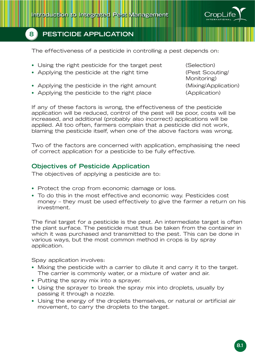

The effectiveness of a pesticide in controlling a pest depends on:

- Using the right pesticide for the target pest (Selection)
- Applying the pesticide at the right time (Pest Scouting/
- Applying the pesticide in the right amount (Mixing/Application)
- Applying the pesticide to the right place (Application)

Monitoring)

If any of these factors is wrong, the effectiveness of the pesticide application will be reduced, control of the pest will be poor, costs will be increased, and additional (probably also incorrect) applications will be applied. All too often, farmers complain that a pesticide did not work, blaming the pesticide itself, when one of the above factors was wrong.

Two of the factors are concerned with application, emphasising the need of correct application for a pesticide to be fully effective.

### **Objectives of Pesticide Application**

The objectives of applying a pesticide are to:

- Protect the crop from economic damage or loss.
- To do this in the most effective and economic way. Pesticides cost money – they must be used effectively to give the farmer a return on his investment.

The final target for a pesticide is the pest. An intermediate target is often the plant surface. The pesticide must thus be taken from the container in which it was purchased and transmitted to the pest. This can be done in various ways, but the most common method in crops is by spray application.

Spay application involves:

- Mixing the pesticide with a carrier to dilute it and carry it to the target. The carrier is commonly water, or a mixture of water and air.
- Putting the spray mix into a sprayer.
- Using the sprayer to break the spray mix into droplets, usually by passing it through a nozzle.
- Using the energy of the droplets themselves, or natural or artificial air movement, to carry the droplets to the target.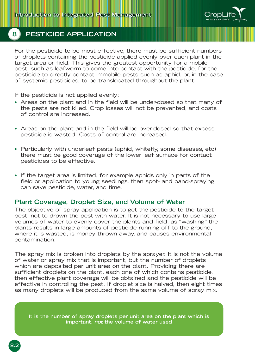

For the pesticide to be most effective, there must be sufficient numbers of droplets containing the pesticide applied evenly over each plant in the target area or field. This gives the greatest opportunity for a mobile pest, such as leafworm to come into contact with the pesticide, for the pesticide to directly contact immobile pests such as aphid, or, in the case of systemic pesticides, to be translocated throughout the plant.

If the pesticide is not applied evenly:

- Areas on the plant and in the field will be under-dosed so that many of the pests are not killed. Crop losses will not be prevented, and costs of control are increased.
- Areas on the plant and in the field will be over-dosed so that excess pesticide is wasted. Costs of control are increased.
- Particularly with underleaf pests (aphid, whitefly, some diseases, etc) there must be good coverage of the lower leaf surface for contact pesticides to be effective.
- If the target area is limited, for example aphids only in parts of the field or application to young seedlings, then spot- and band-spraying can save pesticide, water, and time.

#### **Plant Coverage, Droplet Size, and Volume of Water**

The objective of spray application is to get the pesticide to the target pest, not to drown the pest with water. It is not necessary to use large volumes of water to evenly cover the plants and field, as "washing" the plants results in large amounts of pesticide running off to the ground, where it is wasted, is money thrown away, and causes environmental contamination.

The spray mix is broken into droplets by the sprayer. It is not the volume of water or spray mix that is important, but the number of droplets which are deposited per unit area on the plant. Providing there are sufficient droplets on the plant, each one of which contains pesticide, then effective plant coverage will be obtained and the pesticide will be effective in controlling the pest. If droplet size is halved, then eight times as many droplets will be produced from the same volume of spray mix.

**It is the number of spray droplets per unit area on the plant which is** not the volume of water used **important, not the volume of water used**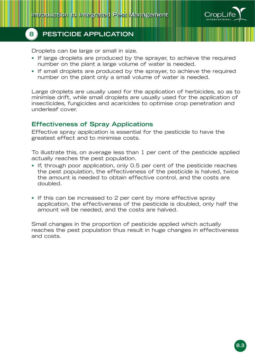

Droplets can be large or small in size.

- If large droplets are produced by the sprayer, to achieve the required number on the plant a large volume of water is needed.
- If small droplets are produced by the sprayer, to achieve the required number on the plant only a small volume of water is needed.

Large droplets are usually used for the application of herbicides, so as to minimise drift, while small droplets are usually used for the application of insecticides, fungicides and acaricides to optimise crop penetration and underleaf cover.

#### **Effectiveness of Spray Applications**

Effective spray application is essential for the pesticide to have the greatest effect and to minimise costs.

To illustrate this, on average less than 1 per cent of the pesticide applied actually reaches the pest population.

- If, through poor application, only 0.5 per cent of the pesticide reaches the pest population, the effectiveness of the pesticide is halved, twice the amount is needed to obtain effective control, and the costs are doubled.
- If this can be increased to 2 per cent by more effective spray application, the effectiveness of the pesticide is doubled, only half the amount will be needed, and the costs are halved.

Small changes in the proportion of pesticide applied which actually reaches the pest population thus result in huge changes in effectiveness and costs.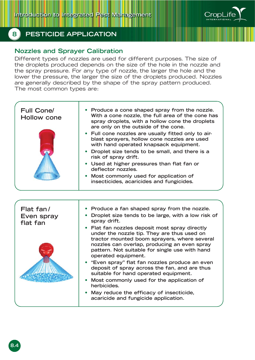

### **Nozzles and Sprayer Calibration**

Different types of nozzles are used for different purposes. The size of the droplets produced depends on the size of the hole in the nozzle and the spray pressure. For any type of nozzle, the larger the hole and the lower the pressure, the larger the size of the droplets produced. Nozzles are generally described by the shape of the spray pattern produced. The most common types are:

| <b>Full Cone/</b><br><b>Hollow cone</b> | • Produce a cone shaped spray from the nozzle.<br>With a cone nozzle, the full area of the cone has<br>spray droplets, with a hollow cone the droplets<br>are only on the outside of the cone.<br>Full cone nozzles are usually fitted only to air-<br>blast sprayers, hollow cone nozzles are used<br>with hand operated knapsack equipment.<br>Droplet size tends to be small, and there is a<br>risk of spray drift.<br>Used at higher pressures than flat fan or<br>deflector nozzles.<br>Most commonly used for application of<br>insecticides, acaricides and fungicides. |
|-----------------------------------------|---------------------------------------------------------------------------------------------------------------------------------------------------------------------------------------------------------------------------------------------------------------------------------------------------------------------------------------------------------------------------------------------------------------------------------------------------------------------------------------------------------------------------------------------------------------------------------|
|                                         |                                                                                                                                                                                                                                                                                                                                                                                                                                                                                                                                                                                 |
|                                         |                                                                                                                                                                                                                                                                                                                                                                                                                                                                                                                                                                                 |
| Flat fan/                               | Produce a fan shaped spray from the nozzle.                                                                                                                                                                                                                                                                                                                                                                                                                                                                                                                                     |
| Even spray<br>flat fan                  | Droplet size tends to be large, with a low risk of<br>spray drift.                                                                                                                                                                                                                                                                                                                                                                                                                                                                                                              |
|                                         | Flat fan nozzles deposit most spray directly<br>under the nozzle tip. They are thus used on<br>tractor mounted boom sprayers, where several<br>nozzles can overlap, producing an even spray<br>pattern. Not suitable for single use with hand<br>operated equipment.                                                                                                                                                                                                                                                                                                            |
|                                         | "Even spray" flat fan nozzles produce an even<br>deposit of spray across the fan, and are thus<br>suitable for hand operated equipment.                                                                                                                                                                                                                                                                                                                                                                                                                                         |
|                                         | Most commonly used for the application of<br>herbicides.                                                                                                                                                                                                                                                                                                                                                                                                                                                                                                                        |
|                                         | May reduce the efficacy of insecticide,<br>acaricide and fungicide application.                                                                                                                                                                                                                                                                                                                                                                                                                                                                                                 |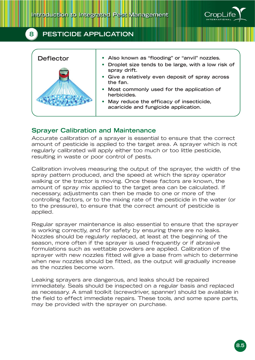

| <b>Deflector</b> | • Also known as "flooding" or "anvil" nozzles.                                    |
|------------------|-----------------------------------------------------------------------------------|
|                  | Droplet size tends to be large, with a low risk of<br>spray drift.                |
|                  | • Give a relatively even deposit of spray across<br>the fan.                      |
|                  | • Most commonly used for the application of<br>herbicides.                        |
|                  | • May reduce the efficacy of insecticide,<br>acaricide and fungicide application. |
|                  |                                                                                   |

#### **Sprayer Calibration and Maintenance**

Accurate calibration of a sprayer is essential to ensure that the correct amount of pesticide is applied to the target area. A sprayer which is not regularly calibrated will apply either too much or too little pesticide, resulting in waste or poor control of pests.

Calibration involves measuring the output of the sprayer, the width of the spray pattern produced, and the speed at which the spray operator walking or the tractor is moving. Once these factors are known, the amount of spray mix applied to the target area can be calculated. If necessary, adjustments can then be made to one or more of the controlling factors, or to the mixing rate of the pesticide in the water (or to the pressure), to ensure that the correct amount of pesticide is applied.

Regular sprayer maintenance is also essential to ensure that the sprayer is working correctly, and for safety by ensuring there are no leaks. Nozzles should be regularly replaced, at least at the beginning of the season, more often if the sprayer is used frequently or if abrasive formulations such as wettable powders are applied. Calibration of the sprayer with new nozzles fitted will give a base from which to determine when new nozzles should be fitted, as the output will gradually increase as the nozzles become worn.

Leaking sprayers are dangerous, and leaks should be repaired immediately. Seals should be inspected on a regular basis and replaced as necessary. A small toolkit (screwdriver, spanner) should be available in the field to effect immediate repairs. These tools, and some spare parts, may be provided with the sprayer on purchase.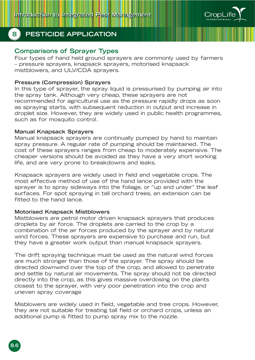

#### **Comparisons of Sprayer Types**

Four types of hand held ground sprayers are commonly used by farmers – pressure sprayers, knapsack sprayers, motorised knapsack mistblowers, and ULV/CDA sprayers.

#### **Pressure (Compression) Sprayers**

In this type of sprayer, the spray liquid is pressurised by pumping air into the spray tank. Although very cheap, these sprayers are not recommended for agricultural use as the pressure rapidly drops as soon as spraying starts, with subsequent reduction in output and increase in droplet size. However, they are widely used in public health programmes, such as for mosquito control.

#### **Manual Knapsack Sprayers**

Manual knapsack sprayers are continually pumped by hand to maintain spray pressure. A regular rate of pumping should be maintained. The cost of these sprayers ranges from cheap to moderately expensive. The cheaper versions should be avoided as they have a very short working life, and are very prone to breakdowns and leaks.

Knapsack sprayers are widely used in field and vegetable crops. The most effective method of use of the hand lance provided with the sprayer is to spray sideways into the foliage, or "up and under" the leaf surfaces. For spot spraying in tall orchard trees, an extension can be fitted to the hand lance.

#### **Motorised Knapsack Mistblowers**

Mistblowers are petrol motor driven knapsack sprayers that produces droplets by air force. The droplets are carried to the crop by a combination of the air forces produced by the sprayer and by natural wind forces. These sprayers are expensive to purchase and run, but they have a greater work output than manual knapsack sprayers.

The drift spraying technique must be used as the natural wind forces are much stronger than those of the sprayer. The spray should be directed downwind over the top of the crop, and allowed to penetrate and settle by natural air movements. The spray should not be directed directly into the crop, as this gives massive overdosing on the plants closest to the sprayer, with very poor penetration into the crop and uneven spray coverage

Misblowers are widely used in field, vegetable and tree crops. However, they are not suitable for treating tall field or orchard crops, unless an additional pump is fitted to pump spray mix to the nozzle.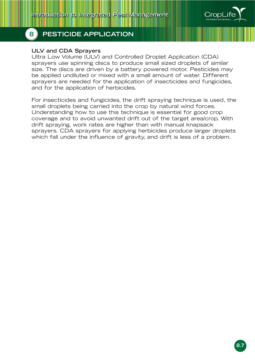

#### **ULV and CDA Sprayers**

Ultra Low Volume (ULV) and Controlled Droplet Application (CDA) sprayers use spinning discs to produce small sized droplets of similar size. The discs are driven by a battery powered motor. Pesticides may be applied undiluted or mixed with a small amount of water. Different sprayers are needed for the application of insecticides and fungicides, and for the application of herbicides.

For insecticides and fungicides, the drift spraying technique is used, the small droplets being carried into the crop by natural wind forces. Understanding how to use this technique is essential for good crop coverage and to avoid unwanted drift out of the target area/crop. With drift spraying, work rates are higher than with manual knapsack sprayers. CDA sprayers for applying herbicides produce larger droplets which fall under the influence of gravity, and drift is less of a problem.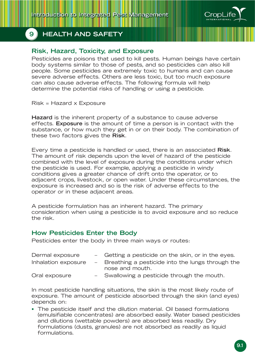

# **Risk, Hazard, Toxicity, and Exposure**

Pesticides are poisons that used to kill pests. Human beings have certain body systems similar to those of pests, and so pesticides can also kill people. Some pesticides are extremely toxic to humans and can cause severe adverse effects. Others are less toxic, but too much exposure can also cause adverse effects. The following formula will help determine the potential risks of handling or using a pesticide.

Risk = Hazard x Exposure

**Hazard** is the inherent property of a substance to cause adverse effects. **Exposure** is the amount of time a person is in contact with the substance, or how much they get in or on their body. The combination of these two factors gives the **Risk**.

Every time a pesticide is handled or used, there is an associated **Risk**. The amount of risk depends upon the level of hazard of the pesticide combined with the level of exposure during the conditions under which the pesticide is used. For example, applying a pesticide in windy conditions gives a greater chance of drift onto the operator, or to adjacent crops, livestock, or open water. Under these circumstances, the exposure is increased and so is the risk of adverse effects to the operator or in these adjacent areas.

A pesticide formulation has an inherent hazard. The primary consideration when using a pesticide is to avoid exposure and so reduce the risk.

### **How Pesticides Enter the Body**

Pesticides enter the body in three main ways or routes:

| Dermal exposure     | - Getting a pesticide on the skin, or in the eyes.                    |
|---------------------|-----------------------------------------------------------------------|
| Inhalation exposure | - Breathing a pesticide into the lungs through the<br>nose and mouth. |
|                     |                                                                       |
| Oral exposure       | - Swallowing a pesticide through the mouth.                           |

In most pesticide handling situations, the skin is the most likely route of exposure. The amount of pesticide absorbed through the skin (and eyes) depends on:

• The pesticide itself and the dilution material. Oil based formulations (emulsifiable concentrates) are absorbed easily. Water based pesticides and dilutions (wettable powders) are absorbed less readily. Dry formulations (dusts, granules) are not absorbed as readily as liquid formulations.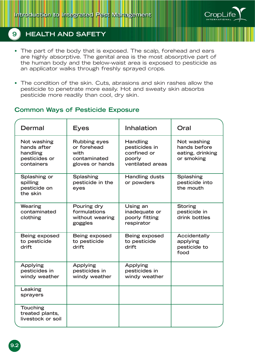

- The part of the body that is exposed. The scalp, forehead and ears are highly absorptive. The genital area is the most absorptive part of the human body and the below-waist area is exposed to pesticide as an applicator walks through freshly sprayed crops.
- The condition of the skin. Cuts, abrasions and skin rashes allow the pesticide to penetrate more easily. Hot and sweaty skin absorbs pesticide more readily than cool, dry skin.

### **Common Ways of Pesticide Exposure**

| <b>Dermal</b>                                                         | <b>Eyes</b>                                                                   | <b>Inhalation</b>                                                             | Oral                                                          |
|-----------------------------------------------------------------------|-------------------------------------------------------------------------------|-------------------------------------------------------------------------------|---------------------------------------------------------------|
| Not washing<br>hands after<br>handling<br>pesticides or<br>containers | <b>Rubbing eyes</b><br>or forehead<br>with<br>contaminated<br>gloves or hands | <b>Handling</b><br>pesticides in<br>confined or<br>poorly<br>ventilated areas | Not washing<br>hands before<br>eating, drinking<br>or smoking |
| Splashing or<br>spilling<br>pesticide on<br>the skin                  | <b>Splashing</b><br>pesticide in the<br>eyes                                  | <b>Handling dusts</b><br>or powders                                           | <b>Splashing</b><br>pesticide into<br>the mouth               |
| Wearing<br>contaminated<br>clothing                                   | Pouring dry<br>formulations<br>without wearing<br>goggles                     | Using an<br>inadequate or<br>poorly fitting<br>respirator                     | <b>Storing</b><br>pesticide in<br>drink bottles               |
| Being exposed<br>to pesticide<br>drift                                | Being exposed<br>to pesticide<br>drift                                        | Being exposed<br>to pesticide<br>drift                                        | Accidentally<br>applying<br>pesticide to<br>food              |
| <b>Applying</b><br>pesticides in<br>windy weather                     | Applying<br>pesticides in<br>windy weather                                    | <b>Applying</b><br>pesticides in<br>windy weather                             |                                                               |
| Leaking<br>sprayers                                                   |                                                                               |                                                                               |                                                               |
| <b>Touching</b><br>treated plants,<br>livestock or soil               |                                                                               |                                                                               |                                                               |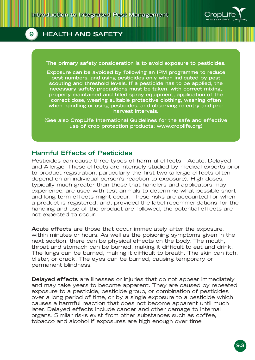

**The primary safety consideration is to avoid exposure to pesticides.**

**Exposure can be avoided by following an IPM programme to reduce pest numbers, and using pesticides only when indicated by pest scouting and threshold levels. If a pesticide has to be applied, the necessary safety precautions must be taken, with correct mixing, properly maintained and filled spray equipment, application of the correct dose, wearing suitable protective clothing, washing often when handling or using pesticides, and observing re-entry and preharvest intervals.**

**(See also CropLife International Guidelines for the safe and effective use of crop protection products: www.croplife.org)**

#### **Harmful Effects of Pesticides**

Pesticides can cause three types of harmful effects – Acute, Delayed and Allergic. These effects are intensely studied by medical experts prior to product registration, particularly the first two (allergic effects often depend on an individual person's reaction to exposure). High doses, typically much greater than those that handlers and applicators may experience, are used with test animals to determine what possible short and long term effects might occur. These risks are accounted for when a product is registered, and, provided the label recommendations for the handling and use of the product are followed, the potential effects are not expected to occur.

**Acute effects** are those that occur immediately after the exposure, within minutes or hours. As well as the poisoning symptoms given in the next section, there can be physical effects on the body. The mouth, throat and stomach can be burned, making it difficult to eat and drink. The lungs can be burned, making it difficult to breath. The skin can itch, blister, or crack. The eyes can be burned, causing temporary or permanent blindness.

**Delayed effects** are illnesses or injuries that do not appear immediately and may take years to become apparent. They are caused by repeated exposure to a pesticide, pesticide group, or combination of pesticides over a long period of time, or by a single exposure to a pesticide which causes a harmful reaction that does not become apparent until much later. Delayed effects include cancer and other damage to internal organs. Similar risks exist from other substances such as coffee, tobacco and alcohol if exposures are high enough over time.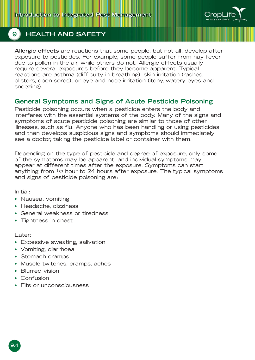

**Allergic effects** are reactions that some people, but not all, develop after exposure to pesticides. For example, some people suffer from hay fever due to pollen in the air, while others do not. Allergic effects usually require several exposures before they become apparent. Typical reactions are asthma (difficulty in breathing), skin irritation (rashes, blisters, open sores), or eye and nose irritation (itchy, watery eyes and sneezing).

### **General Symptoms and Signs of Acute Pesticide Poisoning**

Pesticide poisoning occurs when a pesticide enters the body and interferes with the essential systems of the body. Many of the signs and symptoms of acute pesticide poisoning are similar to those of other illnesses, such as flu. Anyone who has been handling or using pesticides and then develops suspicious signs and symptoms should immediately see a doctor, taking the pesticide label or container with them.

Depending on the type of pesticide and degree of exposure, only some of the symptoms may be apparent, and individual symptoms may appear at different times after the exposure. Symptoms can start anything from  $\frac{1}{2}$  hour to 24 hours after exposure. The typical symptoms and signs of pesticide poisoning are:

Initial:

- Nausea, vomiting
- Headache, dizziness
- General weakness or tiredness
- Tightness in chest

Later:

- Excessive sweating, salivation
- Vomiting, diarrhoea
- Stomach cramps
- Muscle twitches, cramps, aches
- Blurred vision
- Confusion
- Fits or unconsciousness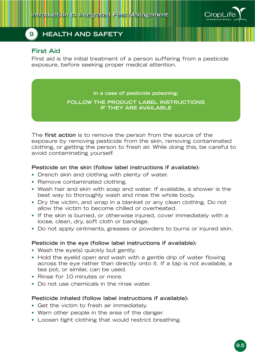

#### **First Aid**

First aid is the initial treatment of a person suffering from a pesticide exposure, before seeking proper medical attention.

**In a case of pesticide poisoning:**

#### **FOLLOW THE PRODUCT LABEL INSTRUCTIONS IF THEY ARE AVAILABLE**

The **first action** is to remove the person from the source of the exposure by removing pesticide from the skin, removing contaminated clothing, or getting the person to fresh air. While doing this, be careful to avoid contaminating yourself.

#### **Pesticide on the skin (follow label instructions if available):**

- Drench skin and clothing with plenty of water.
- Remove contaminated clothing.
- Wash hair and skin with soap and water. If available, a shower is the best way to thoroughly wash and rinse the whole body.
- Dry the victim, and wrap in a blanket or any clean clothing. Do not allow the victim to become chilled or overheated.
- If the skin is burned, or otherwise injured, cover immediately with a loose, clean, dry, soft cloth or bandage.
- Do not apply ointments, greases or powders to burns or injured skin.

#### **Pesticide in the eye (follow label instructions if available):**

- Wash the eye(s) quickly but gently.
- Hold the eyelid open and wash with a gentle drip of water flowing across the eye rather than directly onto it. If a tap is not available, a tea pot, or similar, can be used.
- Rinse for 10 minutes or more.
- Do not use chemicals in the rinse water.

#### **Pesticide inhaled (follow label instructions if available):**

- Get the victim to fresh air immediately.
- Warn other people in the area of the danger.
- Loosen tight clothing that would restrict breathing.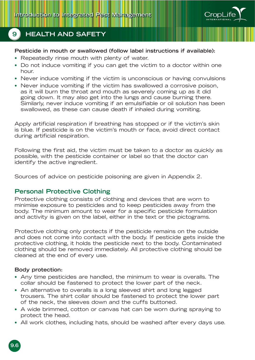

#### **Pesticide in mouth or swallowed (follow label instructions if available):**

- Repeatedly rinse mouth with plenty of water.
- Do not induce vomiting if you can get the victim to a doctor within one hour.
- Never induce vomiting if the victim is unconscious or having convulsions
- Never induce vomiting if the victim has swallowed a corrosive poison, as it will burn the throat and mouth as severely coming up as it did going down. It may also get into the lungs and cause burning there. Similarly, never induce vomiting if an emulsifiable or oil solution has been swallowed, as these can cause death if inhaled during vomiting.

Apply artificial respiration if breathing has stopped or if the victim's skin is blue. If pesticide is on the victim's mouth or face, avoid direct contact during artificial respiration.

Following the first aid, the victim must be taken to a doctor as quickly as possible, with the pesticide container or label so that the doctor can identify the active ingredient.

Sources of advice on pesticide poisoning are given in Appendix 2.

### **Personal Protective Clothing**

Protective clothing consists of clothing and devices that are worn to minimise exposure to pesticides and to keep pesticides away from the body. The minimum amount to wear for a specific pesticide formulation and activity is given on the label, either in the text or the pictograms.

Protective clothing only protects if the pesticide remains on the outside and does not come into contact with the body. If pesticide gets inside the protective clothing, it holds the pesticide next to the body. Contaminated clothing should be removed immediately. All protective clothing should be cleaned at the end of every use.

#### **Body protection:**

- Any time pesticides are handled, the minimum to wear is overalls. The collar should be fastened to protect the lower part of the neck.
- An alternative to overalls is a long sleeved shirt and long legged trousers. The shirt collar should be fastened to protect the lower part of the neck, the sleeves down and the cuffs buttoned.
- A wide brimmed, cotton or canvas hat can be worn during spraying to protect the head.
- All work clothes, including hats, should be washed after every days use.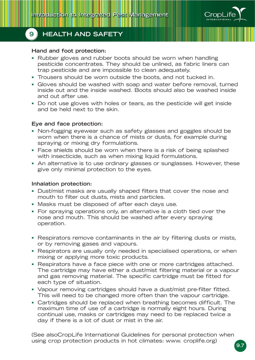

### **Hand and foot protection:**

- Rubber gloves and rubber boots should be worn when handling pesticide concentrates. They should be unlined, as fabric liners can trap pesticide and are impossible to clean adequately.
- Trousers should be worn outside the boots, and not tucked in.
- Gloves should be washed with soap and water before removal, turned inside out and the inside washed. Boots should also be washed inside and out after use.
- Do not use gloves with holes or tears, as the pesticide will get inside and be held next to the skin.

### **Eye and face protection:**

- Non-fogging eyewear such as safety glasses and goggles should be worn when there is a chance of mists or dusts, for example during spraying or mixing dry formulations.
- Face shields should be worn when there is a risk of being splashed with insecticide, such as when mixing liquid formulations.
- An alternative is to use ordinary glasses or sunglasses. However, these give only minimal protection to the eyes.

### **Inhalation protection:**

- Dust/mist masks are usually shaped filters that cover the nose and mouth to filter out dusts, mists and particles.
- Masks must be disposed of after each days use.
- For spraying operations only, an alternative is a cloth tied over the nose and mouth. This should be washed after every spraying operation.
- Respirators remove contaminants in the air by filtering dusts or mists, or by removing gases and vapours.
- Respirators are usually only needed in specialised operations, or when mixing or applying more toxic products.
- Respirators have a face piece with one or more cartridges attached. The cartridge may have either a dust/mist filtering material or a vapour and gas removing material. The specific cartridge must be fitted for each type of situation.
- Vapour removing cartridges should have a dust/mist pre-filter fitted. This will need to be changed more often than the vapour cartridge.
- Cartridges should be replaced when breathing becomes difficult. The maximum time of use of a cartridge is normally eight hours. During continual use, masks or cartridges may need to be replaced twice a day if there is a lot of dust or mist in the air.

(See alsoCropLife International Guidelines for personal protection when using crop protection products in hot climates: www. croplife.org)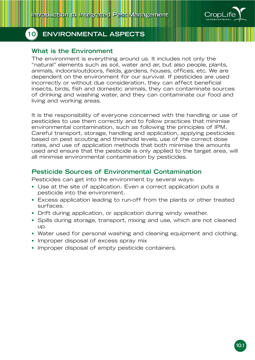

### **What is the Environment**

The environment is everything around us. It includes not only the "natural" elements such as soil, water and air, but also people, plants, animals, indoors/outdoors, fields, gardens, houses, offices, etc. We are dependent on the environment for our survival. If pesticides are used incorrectly or without due consideration, they can affect beneficial insects, birds, fish and domestic animals, they can contaminate sources of drinking and washing water, and they can contaminate our food and living and working areas.

It is the responsibility of everyone concerned with the handling or use of pesticides to use them correctly and to follow practices that minimise environmental contamination, such as following the principles of IPM. Careful transport, storage, handling and application, applying pesticides based on pest scouting and threshold levels, use of the correct dose rates, and use of application methods that both minimise the amounts used and ensure that the pesticide is only applied to the target area, will all minimise environmental contamination by pesticides.

### **Pesticide Sources of Environmental Contamination**

Pesticides can get into the environment by several ways:

- Use at the site of application. Even a correct application puts a pesticide into the environment.
- Excess application leading to run-off from the plants or other treated surfaces.
- Drift during application, or application during windy weather.
- Spills during storage, transport, mixing and use, which are not cleaned up.
- Water used for personal washing and cleaning equipment and clothing.
- Improper disposal of excess spray mix
- Improper disposal of empty pesticide containers.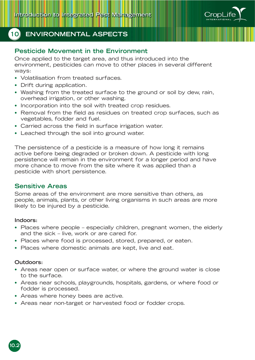

### **Pesticide Movement in the Environment**

Once applied to the target area, and thus introduced into the environment, pesticides can move to other places in several different ways:

- Volatilisation from treated surfaces.
- Drift during application.
- Washing from the treated surface to the ground or soil by dew, rain, overhead irrigation, or other washing.
- Incorporation into the soil with treated crop residues.
- Removal from the field as residues on treated crop surfaces, such as vegetables, fodder and fuel.
- Carried across the field in surface irrigation water.
- Leached through the soil into ground water.

The persistence of a pesticide is a measure of how long it remains active before being degraded or broken down. A pesticide with long persistence will remain in the environment for a longer period and have more chance to move from the site where it was applied than a pesticide with short persistence.

#### **Sensitive Areas**

Some areas of the environment are more sensitive than others, as people, animals, plants, or other living organisms in such areas are more likely to be injured by a pesticide.

#### **Indoors:**

- Places where people especially children, pregnant women, the elderly and the sick – live, work or are cared for.
- Places where food is processed, stored, prepared, or eaten.
- Places where domestic animals are kept, live and eat.

#### **Outdoors:**

- Areas near open or surface water, or where the ground water is close to the surface.
- Areas near schools, playgrounds, hospitals, gardens, or where food or fodder is processed.
- Areas where honey bees are active.
- Areas near non-target or harvested food or fodder crops.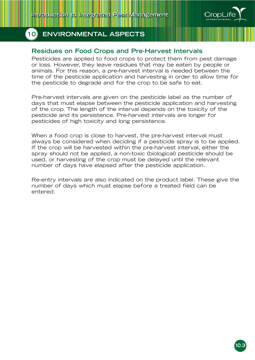

### **Residues on Food Crops and Pre-Harvest Intervals**

Pesticides are applied to food crops to protect them from pest damage or loss. However, they leave residues that may be eaten by people or animals. For this reason, a pre-harvest interval is needed between the time of the pesticide application and harvesting in order to allow time for the pesticide to degrade and for the crop to be safe to eat.

Pre-harvest intervals are given on the pesticide label as the number of days that must elapse between the pesticide application and harvesting of the crop. The length of the interval depends on the toxicity of the pesticide and its persistence. Pre-harvest intervals are longer for pesticides of high toxicity and long persistence.

When a food crop is close to harvest, the pre-harvest interval must always be considered when deciding if a pesticide spray is to be applied. If the crop will be harvested within the pre-harvest interval, either the spray should not be applied, a non-toxic (biological) pesticide should be used, or harvesting of the crop must be delayed until the relevant number of days have elapsed after the pesticide application.

Re-entry intervals are also indicated on the product label. These give the number of days which must elapse before a treated field can be entered.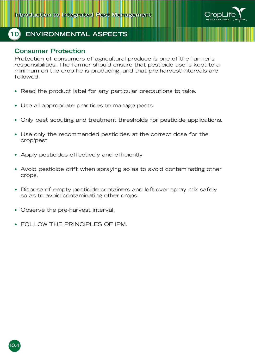

#### **Consumer Protection**

Protection of consumers of agricultural produce is one of the farmer's responsibilities. The farmer should ensure that pesticide use is kept to a minimum on the crop he is producing, and that pre-harvest intervals are followed.

- Read the product label for any particular precautions to take.
- Use all appropriate practices to manage pests.
- Only pest scouting and treatment thresholds for pesticide applications.
- Use only the recommended pesticides at the correct dose for the crop/pest
- Apply pesticides effectively and efficiently
- Avoid pesticide drift when spraying so as to avoid contaminating other crops.
- Dispose of empty pesticide containers and left-over spray mix safely so as to avoid contaminating other crops.
- Observe the pre-harvest interval.
- FOLLOW THE PRINCIPLES OF IPM.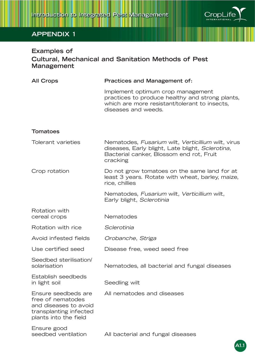

**A1.1**

# **APPENDIX 1**

# **Examples of Cultural, Mechanical and Sanitation Methods of Pest Management**

| <b>All Crops</b>                                                                                                     | <b>Practices and Management of:</b>                                                                                                                            |
|----------------------------------------------------------------------------------------------------------------------|----------------------------------------------------------------------------------------------------------------------------------------------------------------|
|                                                                                                                      | Implement optimum crop management<br>practices to produce healthy and strong plants,<br>which are more resistant/tolerant to insects,<br>diseases and weeds.   |
| <b>Tomatoes</b>                                                                                                      |                                                                                                                                                                |
| Tolerant varieties                                                                                                   | Nematodes, Fusarium wilt, Verticillium wilt, virus<br>diseases, Early blight, Late blight, Sclerotina,<br>Bacterial canker, Blossom end rot, Fruit<br>cracking |
| Crop rotation                                                                                                        | Do not grow tomatoes on the same land for at<br>least 3 years. Rotate with wheat, barley, maize,<br>rice, chillies                                             |
|                                                                                                                      | Nematodes, Fusarium wilt, Verticillium wilt,<br>Early blight, Sclerotinia                                                                                      |
| Rotation with<br>cereal crops                                                                                        | Nematodes                                                                                                                                                      |
| Rotation with rice                                                                                                   | Sclerotinia                                                                                                                                                    |
| Avoid infested fields                                                                                                | Orobanche, Striga                                                                                                                                              |
| Use certified seed                                                                                                   | Disease free, weed seed free                                                                                                                                   |
| Seedbed sterilisation/<br>solarisation                                                                               | Nematodes, all bacterial and fungal diseases                                                                                                                   |
| Establish seedbeds<br>in light soil                                                                                  | Seedling wilt                                                                                                                                                  |
| Ensure seedbeds are<br>free of nematodes<br>and diseases to avoid<br>transplanting infected<br>plants into the field | All nematodes and diseases                                                                                                                                     |
| Ensure good<br>seedbed ventilation                                                                                   | All bacterial and fungal diseases                                                                                                                              |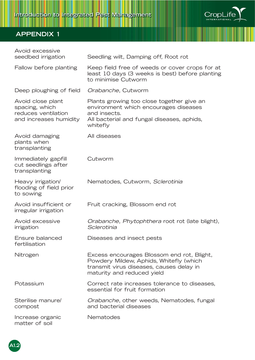

| Avoid excessive<br>seedbed irrigation                                                | Seedling wilt, Damping off, Root rot                                                                                                                            |
|--------------------------------------------------------------------------------------|-----------------------------------------------------------------------------------------------------------------------------------------------------------------|
| Fallow before planting                                                               | Keep field free of weeds or cover crops for at<br>least 10 days (3 weeks is best) before planting<br>to minimise Cutworm                                        |
| Deep ploughing of field                                                              | Orabanche, Cutworm                                                                                                                                              |
| Avoid close plant<br>spacing, which<br>reduces ventilation<br>and increases humidity | Plants growing too close together give an<br>environment which encourages diseases<br>and insects.<br>All bacterial and fungal diseases, aphids,<br>whitefly    |
| Avoid damaging<br>plants when<br>transplanting                                       | All diseases                                                                                                                                                    |
| Immediately gapfill<br>cut seedlings after<br>transplanting                          | Cutworm                                                                                                                                                         |
| Heavy irrigation/<br>flooding of field prior<br>to sowing                            | Nematodes, Cutworm, Sclerotinia                                                                                                                                 |
| Avoid insufficient or<br>irregular irrigation                                        | Fruit cracking, Blossom end rot                                                                                                                                 |
| Avoid excessive<br>irrigation                                                        | Orabanche, Phytophthera root rot (late blight),<br>Sclerotinia                                                                                                  |
| Ensure balanced<br>fertilisation                                                     | Diseases and insect pests                                                                                                                                       |
| Nitrogen                                                                             | Excess encourages Blossom end rot, Blight,<br>Powdery Mildew, Aphids, Whitefly (which<br>transmit virus diseases, causes delay in<br>maturity and reduced yield |
| Potassium                                                                            | Correct rate increases tolerance to diseases,<br>essential for fruit formation                                                                                  |
| Sterilise manure/<br>compost                                                         | Orabanche, other weeds, Nematodes, fungal<br>and bacterial diseases                                                                                             |
| Increase organic<br>matter of soil                                                   | Nematodes                                                                                                                                                       |

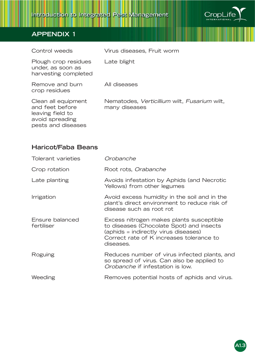

| Control weeds                                                                                       | Virus diseases, Fruit worm                                    |
|-----------------------------------------------------------------------------------------------------|---------------------------------------------------------------|
| Plough crop residues<br>under, as soon as<br>harvesting completed                                   | Late blight                                                   |
| Remove and burn<br>crop residues                                                                    | All diseases                                                  |
| Clean all equipment<br>and feet before<br>leaving field to<br>avoid spreading<br>pests and diseases | Nematodes, Verticillium wilt, Fusarium wilt,<br>many diseases |

## **Haricot/Faba Beans**

| Tolerant varieties            | Orobanche                                                                                                                                                                             |
|-------------------------------|---------------------------------------------------------------------------------------------------------------------------------------------------------------------------------------|
| Crop rotation                 | Root rots, Orabanche                                                                                                                                                                  |
| Late planting                 | Avoids infestation by Aphids (and Necrotic<br>Yellows) from other legumes                                                                                                             |
| Irrigation                    | Avoid excess humidity in the soil and in the<br>plant's direct environment to reduce risk of<br>disease such as root rot                                                              |
| Ensure balanced<br>fertiliser | Excess nitrogen makes plants susceptible<br>to diseases (Chocolate Spot) and insects<br>(aphids = indirectly virus diseases)<br>Correct rate of K increases tolerance to<br>diseases. |
| Roguing                       | Reduces number of virus infected plants, and<br>so spread of virus. Can also be applied to<br>Orobanche if infestation is low.                                                        |
| Weeding                       | Removes potential hosts of aphids and virus.                                                                                                                                          |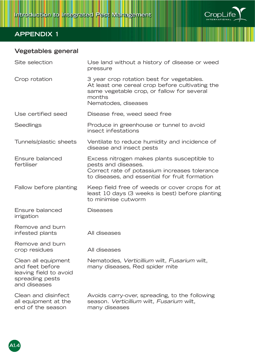

# **Vegetables general**

| Site selection                                                                                      | Use land without a history of disease or weed<br>pressure                                                                                                                   |
|-----------------------------------------------------------------------------------------------------|-----------------------------------------------------------------------------------------------------------------------------------------------------------------------------|
| Crop rotation                                                                                       | 3 year crop rotation best for vegetables.<br>At least one cereal crop before cultivating the<br>same vegetable crop, or fallow for several<br>months<br>Nematodes, diseases |
| Use certified seed                                                                                  | Disease free, weed seed free                                                                                                                                                |
| <b>Seedlings</b>                                                                                    | Produce in greenhouse or tunnel to avoid<br>insect infestations                                                                                                             |
| Tunnels/plastic sheets                                                                              | Ventilate to reduce humidity and incidence of<br>disease and insect pests                                                                                                   |
| Ensure balanced<br>fertiliser                                                                       | Excess nitrogen makes plants susceptible to<br>pests and diseases.<br>Correct rate of potassium increases tolerance<br>to diseases, and essential for fruit formation       |
| Fallow before planting                                                                              | Keep field free of weeds or cover crops for at<br>least 10 days (3 weeks is best) before planting<br>to minimise cutworm                                                    |
| Ensure balanced<br>irrigation                                                                       | <b>Diseases</b>                                                                                                                                                             |
| Remove and burn<br>infested plants                                                                  | All diseases                                                                                                                                                                |
| Remove and burn<br>crop residues                                                                    | All diseases                                                                                                                                                                |
| Clean all equipment<br>and feet before<br>leaving field to avoid<br>spreading pests<br>and diseases | Nematodes, Verticillium wilt, Fusarium wilt,<br>many diseases, Red spider mite                                                                                              |
| Clean and disinfect<br>all equipment at the<br>end of the season                                    | Avoids carry-over, spreading, to the following<br>season. Verticillium wilt, Fusarium wilt,<br>many diseases                                                                |

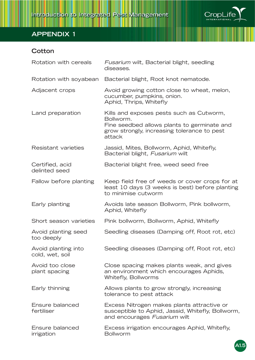

# **Cotton**

| Rotation with cereals                  | Fusarium wilt, Bacterial blight, seedling<br>diseases.                                                                                                        |
|----------------------------------------|---------------------------------------------------------------------------------------------------------------------------------------------------------------|
| Rotation with soyabean                 | Bacterial blight, Root knot nematode.                                                                                                                         |
| Adjacent crops                         | Avoid growing cotton close to wheat, melon,<br>cucumber, pumpkins, onion.<br>Aphid, Thrips, Whitefly                                                          |
| Land preparation                       | Kills and exposes pests such as Cutworm,<br>Bollworm.<br>Fine seedbed allows plants to germinate and<br>grow strongly, increasing tolerance to pest<br>attack |
| <b>Resistant varieties</b>             | Jassid, Mites, Bollworm, Aphid, Whitefly,<br>Bacterial blight, Fusarium wilt                                                                                  |
| Certified, acid<br>delinted seed       | Bacterial blight free, weed seed free                                                                                                                         |
| Fallow before planting                 | Keep field free of weeds or cover crops for at<br>least 10 days (3 weeks is best) before planting<br>to minimise cutworm                                      |
| Early planting                         | Avoids late season Bollworm, Pink bollworm,<br>Aphid, Whitefly                                                                                                |
| Short season varieties                 | Pink bollworm, Bollworm, Aphid, Whitefly                                                                                                                      |
| Avoid planting seed<br>too deeply      | Seedling diseases (Damping off, Root rot, etc)                                                                                                                |
| Avoid planting into<br>cold, wet, soil | Seedling diseases (Damping off, Root rot, etc)                                                                                                                |
| Avoid too close<br>plant spacing       | Close spacing makes plants weak, and gives<br>an environment which encourages Aphids,<br>Whitefly, Bollworms                                                  |
| Early thinning                         | Allows plants to grow strongly, increasing<br>tolerance to pest attack                                                                                        |
| Ensure balanced<br>fertiliser          | Excess Nitrogen makes plants attractive or<br>susceptible to Aphid, Jassid, Whitefly, Bollworm,<br>and encourages Fusarium wilt                               |
| Ensure balanced<br>irrigation          | Excess irrigation encourages Aphid, Whitefly,<br><b>Bollworm</b>                                                                                              |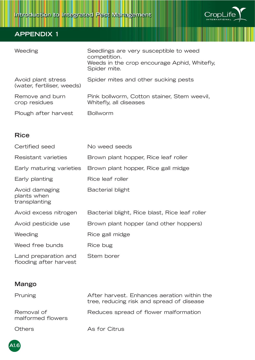

| Weeding                                          | Seedlings are very susceptible to weed<br>competition.<br>Weeds in the crop encourage Aphid, Whitefly,<br>Spider mite. |
|--------------------------------------------------|------------------------------------------------------------------------------------------------------------------------|
| Avoid plant stress<br>(water, fertiliser, weeds) | Spider mites and other sucking pests                                                                                   |
| Remove and burn<br>crop residues                 | Pink bollworm, Cotton stainer, Stem weevil,<br>Whitefly, all diseases                                                  |
| Plough after harvest                             | <b>Bollworm</b>                                                                                                        |

# **Rice**

| Certified seed                                 | No weed seeds                                  |
|------------------------------------------------|------------------------------------------------|
| Resistant varieties                            | Brown plant hopper, Rice leaf roller           |
| Early maturing varieties                       | Brown plant hopper, Rice gall midge            |
| Early planting                                 | Rice leaf roller                               |
| Avoid damaging<br>plants when<br>transplanting | Bacterial blight                               |
| Avoid excess nitrogen                          | Bacterial blight, Rice blast, Rice leaf roller |
| Avoid pesticide use                            | Brown plant hopper (and other hoppers)         |
| Weeding                                        | Rice gall midge                                |
| Weed free bunds                                | Rice bug                                       |
| Land preparation and<br>flooding after harvest | Stem borer                                     |

## **Mango**

| <b>Pruning</b>                  | After harvest. Enhances aeration within the<br>tree, reducing risk and spread of disease |
|---------------------------------|------------------------------------------------------------------------------------------|
| Removal of<br>malformed flowers | Reduces spread of flower malformation                                                    |
| <b>Others</b>                   | As for Citrus                                                                            |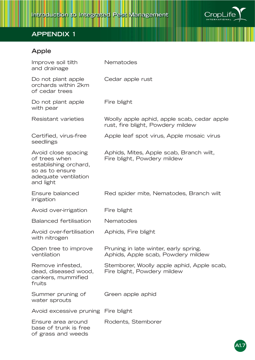

# **Apple**

| Improve soil tilth<br>and drainage                                                                                    | Nematodes                                                                        |
|-----------------------------------------------------------------------------------------------------------------------|----------------------------------------------------------------------------------|
| Do not plant apple<br>orchards within 2km<br>of cedar trees                                                           | Cedar apple rust                                                                 |
| Do not plant apple<br>with pear                                                                                       | Fire blight                                                                      |
| Resistant varieties                                                                                                   | Woolly apple aphid, apple scab, cedar apple<br>rust, fire blight, Powdery mildew |
| Certified, virus-free<br>seedlings                                                                                    | Apple leaf spot virus, Apple mosaic virus                                        |
| Avoid close spacing<br>of trees when<br>establishing orchard,<br>so as to ensure<br>adequate ventilation<br>and light | Aphids, Mites, Apple scab, Branch wilt,<br>Fire blight, Powdery mildew           |
| Ensure balanced<br>irrigation                                                                                         | Red spider mite, Nematodes, Branch wilt                                          |
| Avoid over-irrigation                                                                                                 | Fire blight                                                                      |
| <b>Balanced fertilisation</b>                                                                                         | Nematodes                                                                        |
| Avoid over-fertilisation<br>with nitrogen                                                                             | Aphids, Fire blight                                                              |
| Open tree to improve<br>ventilation                                                                                   | Pruning in late winter, early spring.<br>Aphids, Apple scab, Powdery mildew      |
| Remove infested,<br>dead, diseased wood,<br>cankers, mummified<br>fruits                                              | Stemborer, Woolly apple aphid, Apple scab,<br>Fire blight, Powdery mildew        |
| Summer pruning of<br>water sprouts                                                                                    | Green apple aphid                                                                |
| Avoid excessive pruning Fire blight                                                                                   |                                                                                  |
| Ensure area around<br>base of trunk is free<br>of grass and weeds                                                     | Rodents, Stemborer                                                               |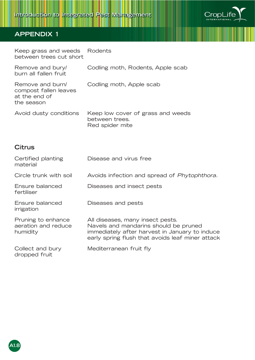

Keep grass and weeds Rodents between trees cut short

| Remove and bury/<br>burn all fallen fruit                                | Codling moth, Rodents, Apple scab                                      |
|--------------------------------------------------------------------------|------------------------------------------------------------------------|
| Remove and burn/<br>compost fallen leaves<br>at the end of<br>the season | Codling moth, Apple scab                                               |
| Avoid dusty conditions                                                   | Keep low cover of grass and weeds<br>between trees.<br>Red spider mite |

### **Citrus**

| Certified planting<br>material                        | Disease and virus free                                                                                                                                                          |
|-------------------------------------------------------|---------------------------------------------------------------------------------------------------------------------------------------------------------------------------------|
| Circle trunk with soil                                | Avoids infection and spread of Phytophthora.                                                                                                                                    |
| Ensure balanced<br>fertiliser                         | Diseases and insect pests                                                                                                                                                       |
| Ensure balanced<br>irrigation                         | Diseases and pests                                                                                                                                                              |
| Pruning to enhance<br>aeration and reduce<br>humidity | All diseases, many insect pests.<br>Navels and mandarins should be pruned<br>immediately after harvest in January to induce<br>early spring flush that avoids leaf miner attack |
| Collect and bury<br>dropped fruit                     | Mediterranean fruit fly                                                                                                                                                         |

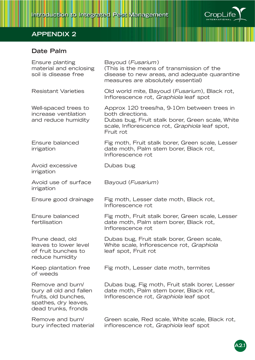

## **Date Palm**

| Ensure planting<br>material and enclosing<br>soil is disease free                                                  | Bayoud ( <i>Fusarium</i> )<br>(This is the means of transmission of the<br>disease to new areas, and adequate quarantine<br>measures are absolutely essential)                     |
|--------------------------------------------------------------------------------------------------------------------|------------------------------------------------------------------------------------------------------------------------------------------------------------------------------------|
| <b>Resistant Varieties</b>                                                                                         | Old world mite, Bayoud (Fusarium), Black rot,<br>Inflorescence rot, Graphiola leaf spot                                                                                            |
| Well-spaced trees to<br>increase ventilation<br>and reduce humidity                                                | Approx 120 trees/ha, 9-10m between trees in<br>both directions.<br>Dubas bug, Fruit stalk borer, Green scale, White<br>scale, Inflorescence rot, Graphiola leaf spot,<br>Fruit rot |
| Ensure balanced<br>irrigation                                                                                      | Fig moth, Fruit stalk borer, Green scale, Lesser<br>date moth, Palm stem borer, Black rot,<br>Inflorescence rot                                                                    |
| Avoid excessive<br>irrigation                                                                                      | Dubas bug                                                                                                                                                                          |
| Avoid use of surface<br>irrigation                                                                                 | Bayoud (Fusarium)                                                                                                                                                                  |
| Ensure good drainage                                                                                               | Fig moth, Lesser date moth, Black rot,<br>Inflorescence rot                                                                                                                        |
| Ensure balanced<br>fertilisation                                                                                   | Fig moth, Fruit stalk borer, Green scale, Lesser<br>date moth, Palm stem borer, Black rot,<br>Inflorescence rot                                                                    |
| Prune dead, old<br>leaves to lower level<br>of fruit bunches to<br>reduce humidity                                 | Dubas bug, Fruit stalk borer, Green scale,<br>White scale, Inflorescence rot, Graphiola<br>leaf spot, Fruit rot                                                                    |
| Keep plantation free<br>of weeds                                                                                   | Fig moth, Lesser date moth, termites                                                                                                                                               |
| Remove and burn/<br>bury all old and fallen<br>fruits, old bunches,<br>spathes, dry leaves,<br>dead trunks, fronds | Dubas bug, Fig moth, Fruit stalk borer, Lesser<br>date moth, Palm stem borer, Black rot,<br>Inflorescence rot, Graphiola leaf spot                                                 |
| Remove and burn/<br>bury infected material                                                                         | Green scale, Red scale, White scale, Black rot,<br>inflorescence rot, Graphiola leaf spot                                                                                          |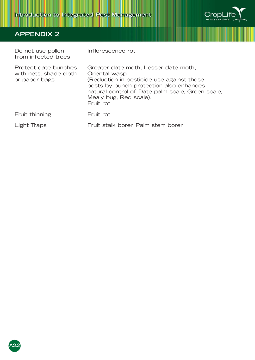

| Do not use pollen<br>from infected trees                        | Inflorescence rot                                                                                                                                                                                                                         |
|-----------------------------------------------------------------|-------------------------------------------------------------------------------------------------------------------------------------------------------------------------------------------------------------------------------------------|
| Protect date bunches<br>with nets, shade cloth<br>or paper bags | Greater date moth, Lesser date moth,<br>Oriental wasp.<br>(Reduction in pesticide use against these<br>pests by bunch protection also enhances<br>natural control of Date palm scale, Green scale,<br>Mealy bug, Red scale).<br>Fruit rot |
| Fruit thinning                                                  | Fruit rot                                                                                                                                                                                                                                 |
| Light Traps                                                     | Fruit stalk borer, Palm stem borer                                                                                                                                                                                                        |

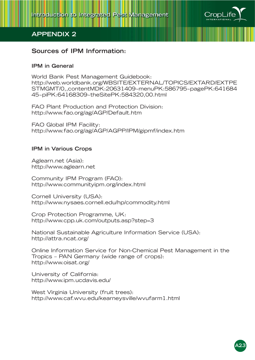

### **Sources of IPM Information:**

#### **IPM in General**

World Bank Pest Management Guidebook: http://web.worldbank.org/WBSITE/EXTERNAL/TOPICS/EXTARD/EXTPE STMGMT/0,,contentMDK:20631409~menuPK:586795~pagePK:641684 45~piPK:64168309~theSitePK:584320,00.html

FAO Plant Production and Protection Division: http://www.fao.org/ag/AGP/Default.htm

FAO Global IPM Facility: http://www.fao.org/ag/AGP/AGPP/IPM/gipmf/index.htm

#### **IPM in Various Crops**

Aglearn.net (Asia): http://www.aglearn.net

Community IPM Program (FAO): http://www.communityipm.org/index.html

Cornell University (USA): http://www.nysaes.cornell.edu/hp/commodity.html

Crop Protection Programme, UK: http://www.cpp.uk.com/outputs.asp?step=3

National Sustainable Agriculture Information Service (USA): http://attra.ncat.org/

Online Information Service for Non-Chemical Pest Management in the Tropics – PAN Germany (wide range of crops): http://www.oisat.org/

University of California: http://www.ipm.ucdavis.edu/

West Virginia University (fruit trees): http://www.caf.wvu.edu/kearneysville/wvufarm1.html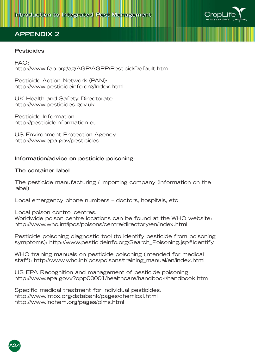

#### **Pesticides**

FAO: http://www.fao.org/ag/AGP/AGPP/Pesticid/Default.htm

Pesticide Action Network (PAN): http://www.pesticideinfo.org/Index.html

UK Health and Safety Directorate http://www.pesticides.gov.uk

Pesticide Information http://pesticideinformation.eu

US Environment Protection Agency http://www.epa.gov/pesticides

#### **Information/advice on pesticide poisoning:**

#### **The container label**

The pesticide manufacturing / importing company (information on the label)

Local emergency phone numbers – doctors, hospitals, etc

Local poison control centres.

Worldwide poison centre locations can be found at the WHO website: http://www.who.int/ipcs/poisons/centre/directory/en/index.html

Pesticide poisoning diagnostic tool (to identify pesticide from poisoning symptoms): http://www.pesticideinfo.org/Search\_Poisoning.jsp#Identify

WHO training manuals on pesticide poisoning (intended for medical staff): http://www.who.int/ipcs/poisons/training\_manual/en/index.html

US EPA Recognition and management of pesticide poisoning: http://www.epa.govv?opp00001/healthcare/handbook/handbook.htm

Specific medical treatment for individual pesticides: http://www.intox.org/databank/pages/chemical.html http://www.inchem.org/pages/pims.html